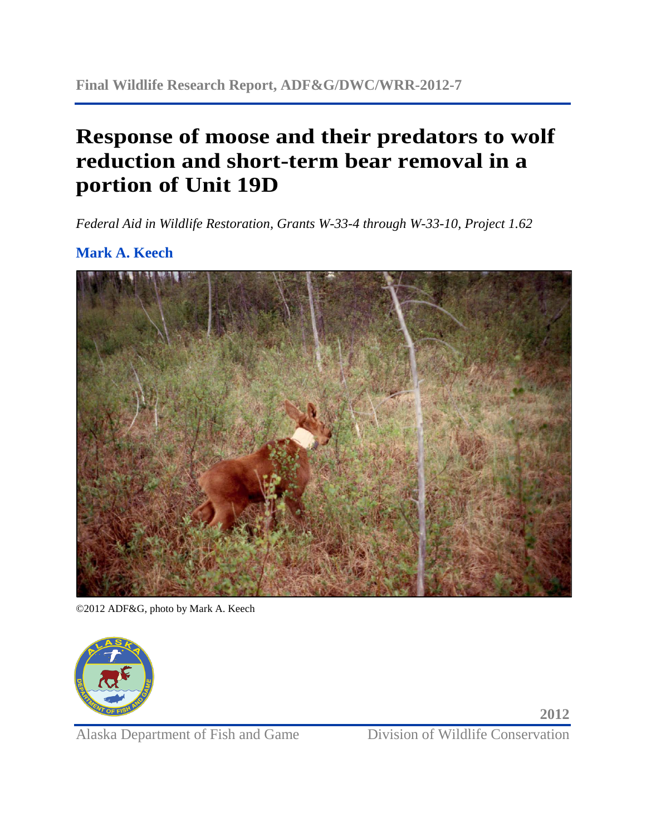# **Response of moose and their predators to wolf reduction and short-term bear removal in a portion of Unit 19D**

*Federal Aid in Wildlife Restoration, Grants W-33-4 through W-33-10, Project 1.62* 

## **Mark A. Keech**



©2012 ADF&G, photo by Mark A. Keech



Alaska Department of Fish and Game<br>
Division of Wildlife Conservation

**2012**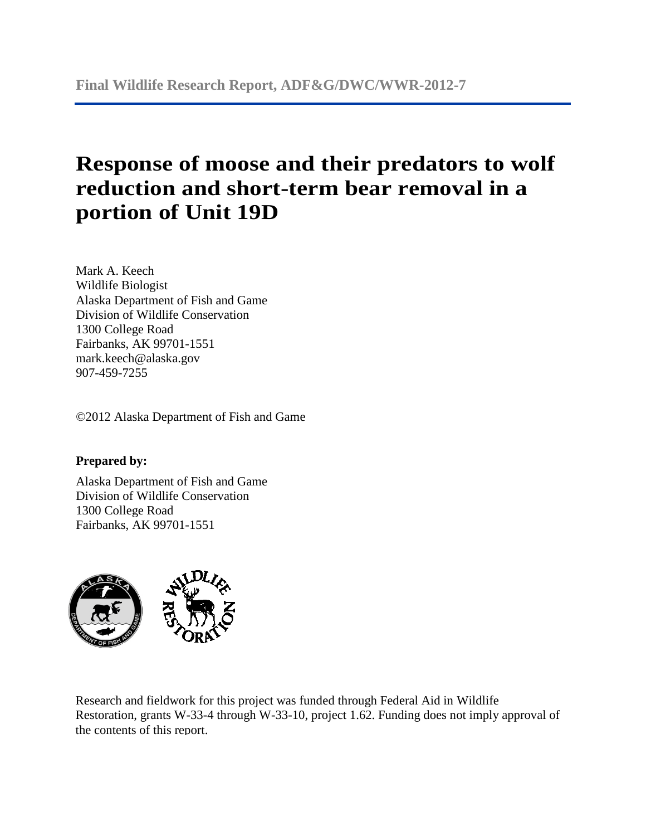# **Response of moose and their predators to wolf reduction and short-term bear removal in a portion of Unit 19D**

Mark A. Keech Wildlife Biologist Alaska Department of Fish and Game Division of Wildlife Conservation 1300 College Road Fairbanks, AK 99701-1551 mark.keech@alaska.gov 907-459-7255

©2012 Alaska Department of Fish and Game

### **Prepared by:**

Alaska Department of Fish and Game Division of Wildlife Conservation 1300 College Road Fairbanks, AK 99701-1551



 Research and fieldwork for this project was funded through Federal Aid in Wildlife Restoration, grants W-33-4 through W-33-10, project 1.62. Funding does not imply approval of the contents of this report.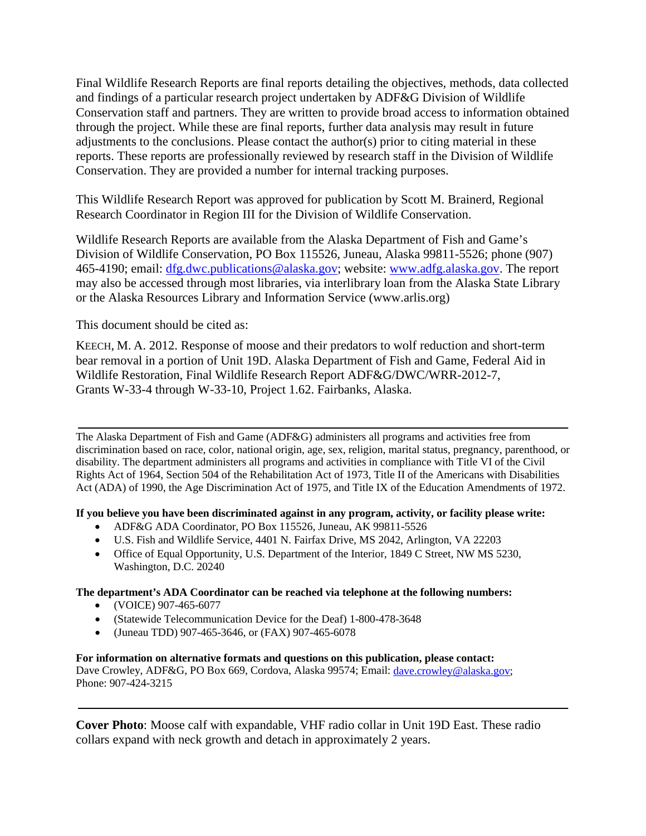adjustments to the conclusions. Please contact the author(s) prior to citing material in these Final Wildlife Research Reports are final reports detailing the objectives, methods, data collected and findings of a particular research project undertaken by ADF&G Division of Wildlife Conservation staff and partners. They are written to provide broad access to information obtained through the project. While these are final reports, further data analysis may result in future reports. These reports are professionally reviewed by research staff in the Division of Wildlife Conservation. They are provided a number for internal tracking purposes.

This Wildlife Research Report was approved for publication by Scott M. Brainerd, Regional Research Coordinator in Region III for the Division of Wildlife Conservation.

 may also be accessed through most libraries, via interlibrary loan from the Alaska State Library or the Alaska Resources Library and Information Service (www.arlis.org) This document should be cited as: Wildlife Research Reports are available from the Alaska Department of Fish and Game's Division of Wildlife Conservation, PO Box 115526, Juneau, Alaska 99811-5526; phone (907) 465-4190; email: [dfg.dwc.publications@alaska.gov;](mailto:dfg.dwc.publications@alaska.gov) website: [www.adfg.alaska.gov.](http://www.adfg.alaska.gov/) The report

 KEECH, M. A. 2012. Response of moose and their predators to wolf reduction and short-term bear removal in a portion of Unit 19D. Alaska Department of Fish and Game, Federal Aid in Wildlife Restoration, Final Wildlife Research Report ADF&G/DWC/WRR-2012-7, Grants W-33-4 through W-33-10, Project 1.62. Fairbanks, Alaska.

 The Alaska Department of Fish and Game (ADF&G) administers all programs and activities free from Act (ADA) of 1990, the Age Discrimination Act of 1975, and Title IX of the Education Amendments of 1972. discrimination based on race, color, national origin, age, sex, religion, marital status, pregnancy, parenthood, or disability. The department administers all programs and activities in compliance with Title VI of the Civil Rights Act of 1964, Section 504 of the Rehabilitation Act of 1973, Title II of the Americans with Disabilities

 **If you believe you have been discriminated against in any program, activity, or facility please write:** 

- • ADF&G ADA Coordinator, PO Box 115526, Juneau, AK 99811-5526
- • U.S. Fish and Wildlife Service, 4401 N. Fairfax Drive, MS 2042, Arlington, VA 22203
- Office of Equal Opportunity, U.S. Department of the Interior, 1849 C Street, NW MS 5230, Washington, D.C. 20240

### **The department's ADA Coordinator can be reached via telephone at the following numbers:**

- (VOICE) 907-465-6077
- (Statewide Telecommunication Device for the Deaf) 1-800-478-3648
- • (Juneau TDD) 907-465-3646, or (FAX) 907-465-6078

#### **For information on alternative formats and questions on this publication, please contact:**  Dave Crowley, ADF&G, PO Box 669, Cordova, Alaska 99574; Email: [dave.crowley@alaska.gov;](mailto:dave.crowley@alaska.gov)

Phone: 907-424-3215

 **Cover Photo**: Moose calf with expandable, VHF radio collar in Unit 19D East. These radio collars expand with neck growth and detach in approximately 2 years.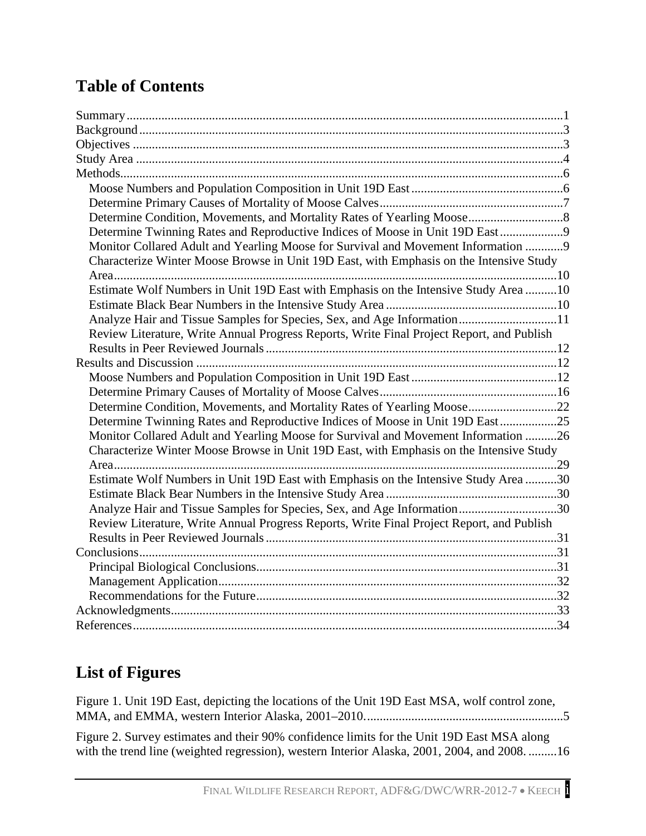## **Table of Contents**

| Determine Twinning Rates and Reproductive Indices of Moose in Unit 19D East 9             |  |
|-------------------------------------------------------------------------------------------|--|
| Monitor Collared Adult and Yearling Moose for Survival and Movement Information 9         |  |
| Characterize Winter Moose Browse in Unit 19D East, with Emphasis on the Intensive Study   |  |
| Estimate Wolf Numbers in Unit 19D East with Emphasis on the Intensive Study Area 10       |  |
|                                                                                           |  |
|                                                                                           |  |
| Analyze Hair and Tissue Samples for Species, Sex, and Age Information11                   |  |
| Review Literature, Write Annual Progress Reports, Write Final Project Report, and Publish |  |
|                                                                                           |  |
|                                                                                           |  |
|                                                                                           |  |
|                                                                                           |  |
| Determine Condition, Movements, and Mortality Rates of Yearling Moose22                   |  |
| Determine Twinning Rates and Reproductive Indices of Moose in Unit 19D East25             |  |
| Monitor Collared Adult and Yearling Moose for Survival and Movement Information 26        |  |
| Characterize Winter Moose Browse in Unit 19D East, with Emphasis on the Intensive Study   |  |
|                                                                                           |  |
| Estimate Wolf Numbers in Unit 19D East with Emphasis on the Intensive Study Area30        |  |
|                                                                                           |  |
| Analyze Hair and Tissue Samples for Species, Sex, and Age Information30                   |  |
| Review Literature, Write Annual Progress Reports, Write Final Project Report, and Publish |  |
|                                                                                           |  |
|                                                                                           |  |
|                                                                                           |  |
|                                                                                           |  |
|                                                                                           |  |
|                                                                                           |  |
|                                                                                           |  |

## **List of Figures**

| Figure 1. Unit 19D East, depicting the locations of the Unit 19D East MSA, wolf control zone, |  |
|-----------------------------------------------------------------------------------------------|--|
|                                                                                               |  |

 with the trend line (weighted regression), western Interior Alaska, 2001, 2004, and 2008. .........16 Figure 2. Survey estimates and their 90% confidence limits for the Unit 19D East MSA along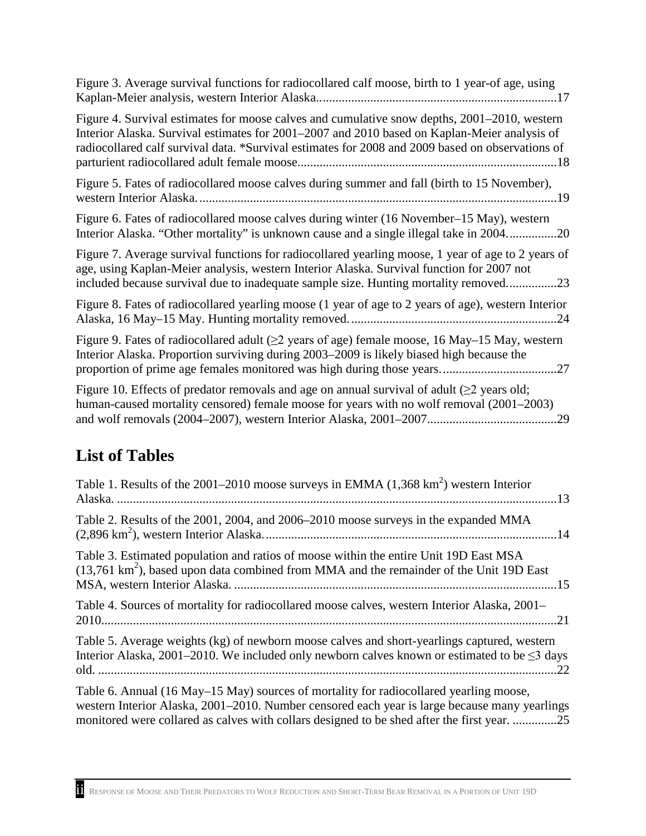Kaplan-Meier analysis, western Interior Alaska............................................................................17 Figure 3. Average survival functions for radiocollared calf moose, birth to 1 year-of age, using

| Figure 4. Survival estimates for moose calves and cumulative snow depths, 2001–2010, western<br>Interior Alaska. Survival estimates for 2001–2007 and 2010 based on Kaplan-Meier analysis of<br>radiocollared calf survival data. *Survival estimates for 2008 and 2009 based on observations of |
|--------------------------------------------------------------------------------------------------------------------------------------------------------------------------------------------------------------------------------------------------------------------------------------------------|
| Figure 5. Fates of radiocollared moose calves during summer and fall (birth to 15 November),                                                                                                                                                                                                     |
| Figure 6. Fates of radiocollared moose calves during winter (16 November–15 May), western<br>Interior Alaska. "Other mortality" is unknown cause and a single illegal take in 200420                                                                                                             |
| Figure 7. Average survival functions for radiocollared yearling moose, 1 year of age to 2 years of<br>age, using Kaplan-Meier analysis, western Interior Alaska. Survival function for 2007 not<br>included because survival due to inadequate sample size. Hunting mortality removed23          |
| Figure 8. Fates of radiocollared yearling moose (1 year of age to 2 years of age), western Interior                                                                                                                                                                                              |
| Figure 9. Fates of radiocollared adult ( $\geq$ 2 years of age) female moose, 16 May–15 May, western<br>Interior Alaska. Proportion surviving during 2003–2009 is likely biased high because the                                                                                                 |
| Figure 10. Effects of predator removals and age on annual survival of adult ( $\geq$ 2 years old;<br>$h$ uman causad mortality cansored) fomala moosa for yours with no wolf ramoval $(2001, 2002)$                                                                                              |

 human-caused mortality censored) female moose for years with no wolf removal (2001–2003) and wolf removals (2004–2007), western Interior Alaska, 2001–2007.........................................29

## **List of Tables**

| Table 1. Results of the 2001–2010 moose surveys in EMMA $(1,368 \text{ km}^2)$ western Interior                                                                                                                                                                                        |
|----------------------------------------------------------------------------------------------------------------------------------------------------------------------------------------------------------------------------------------------------------------------------------------|
| Table 2. Results of the 2001, 2004, and 2006–2010 moose surveys in the expanded MMA                                                                                                                                                                                                    |
| Table 3. Estimated population and ratios of moose within the entire Unit 19D East MSA<br>$(13,761 \text{ km}^2)$ , based upon data combined from MMA and the remainder of the Unit 19D East                                                                                            |
| Table 4. Sources of mortality for radiocollared moose calves, western Interior Alaska, 2001–                                                                                                                                                                                           |
| Table 5. Average weights (kg) of newborn moose calves and short-yearlings captured, western<br>Interior Alaska, 2001–2010. We included only newborn calves known or estimated to be $\leq$ 3 days                                                                                      |
| Table 6. Annual (16 May–15 May) sources of mortality for radiocollared yearling moose,<br>western Interior Alaska, 2001–2010. Number censored each year is large because many yearlings<br>monitored were collared as calves with collars designed to be shed after the first year. 25 |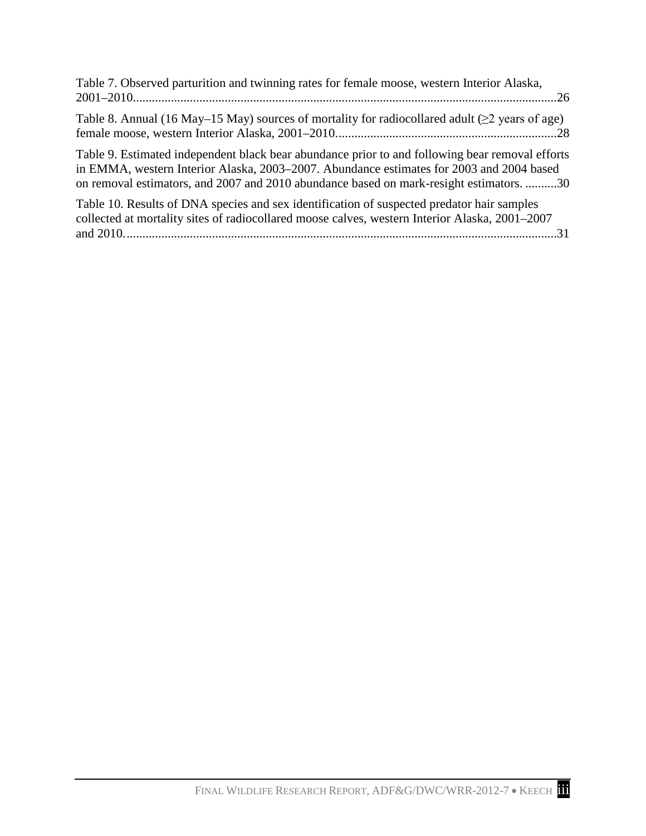| Table 7. Observed parturition and twinning rates for female moose, western Interior Alaska,                                                                                                                                                                                            |
|----------------------------------------------------------------------------------------------------------------------------------------------------------------------------------------------------------------------------------------------------------------------------------------|
| Table 8. Annual (16 May–15 May) sources of mortality for radiocollared adult ( $\geq$ 2 years of age)                                                                                                                                                                                  |
| Table 9. Estimated independent black bear abundance prior to and following bear removal efforts<br>in EMMA, western Interior Alaska, 2003–2007. Abundance estimates for 2003 and 2004 based<br>on removal estimators, and 2007 and 2010 abundance based on mark-resight estimators. 30 |
| Table 10. Results of DNA species and sex identification of suspected predator hair samples<br>collected at mortality sites of radiocollared moose calves, western Interior Alaska, 2001–2007                                                                                           |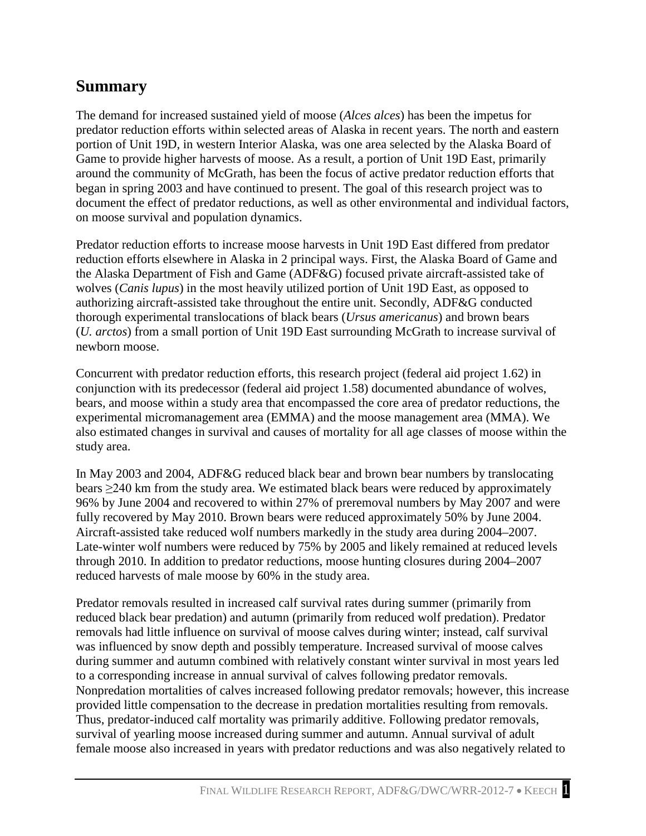## <span id="page-6-0"></span>**Summary**

 Game to provide higher harvests of moose. As a result, a portion of Unit 19D East, primarily The demand for increased sustained yield of moose (*Alces alces*) has been the impetus for predator reduction efforts within selected areas of Alaska in recent years. The north and eastern portion of Unit 19D, in western Interior Alaska, was one area selected by the Alaska Board of around the community of McGrath, has been the focus of active predator reduction efforts that began in spring 2003 and have continued to present. The goal of this research project was to document the effect of predator reductions, as well as other environmental and individual factors, on moose survival and population dynamics.

 the Alaska Department of Fish and Game (ADF&G) focused private aircraft-assisted take of Predator reduction efforts to increase moose harvests in Unit 19D East differed from predator reduction efforts elsewhere in Alaska in 2 principal ways. First, the Alaska Board of Game and wolves (*Canis lupus*) in the most heavily utilized portion of Unit 19D East, as opposed to authorizing aircraft-assisted take throughout the entire unit. Secondly, ADF&G conducted thorough experimental translocations of black bears (*Ursus americanus*) and brown bears (*U. arctos*) from a small portion of Unit 19D East surrounding McGrath to increase survival of newborn moose.

 also estimated changes in survival and causes of mortality for all age classes of moose within the Concurrent with predator reduction efforts, this research project (federal aid project 1.62) in conjunction with its predecessor (federal aid project 1.58) documented abundance of wolves, bears, and moose within a study area that encompassed the core area of predator reductions, the experimental micromanagement area (EMMA) and the moose management area (MMA). We study area.

In May 2003 and 2004, ADF&G reduced black bear and brown bear numbers by translocating bears ≥240 km from the study area. We estimated black bears were reduced by approximately 96% by June 2004 and recovered to within 27% of preremoval numbers by May 2007 and were fully recovered by May 2010. Brown bears were reduced approximately 50% by June 2004. Aircraft-assisted take reduced wolf numbers markedly in the study area during 2004–2007. Late-winter wolf numbers were reduced by 75% by 2005 and likely remained at reduced levels through 2010. In addition to predator reductions, moose hunting closures during 2004–2007 reduced harvests of male moose by 60% in the study area.

Predator removals resulted in increased calf survival rates during summer (primarily from reduced black bear predation) and autumn (primarily from reduced wolf predation). Predator removals had little influence on survival of moose calves during winter; instead, calf survival was influenced by snow depth and possibly temperature. Increased survival of moose calves during summer and autumn combined with relatively constant winter survival in most years led to a corresponding increase in annual survival of calves following predator removals. Nonpredation mortalities of calves increased following predator removals; however, this increase provided little compensation to the decrease in predation mortalities resulting from removals. Thus, predator-induced calf mortality was primarily additive. Following predator removals, survival of yearling moose increased during summer and autumn. Annual survival of adult female moose also increased in years with predator reductions and was also negatively related to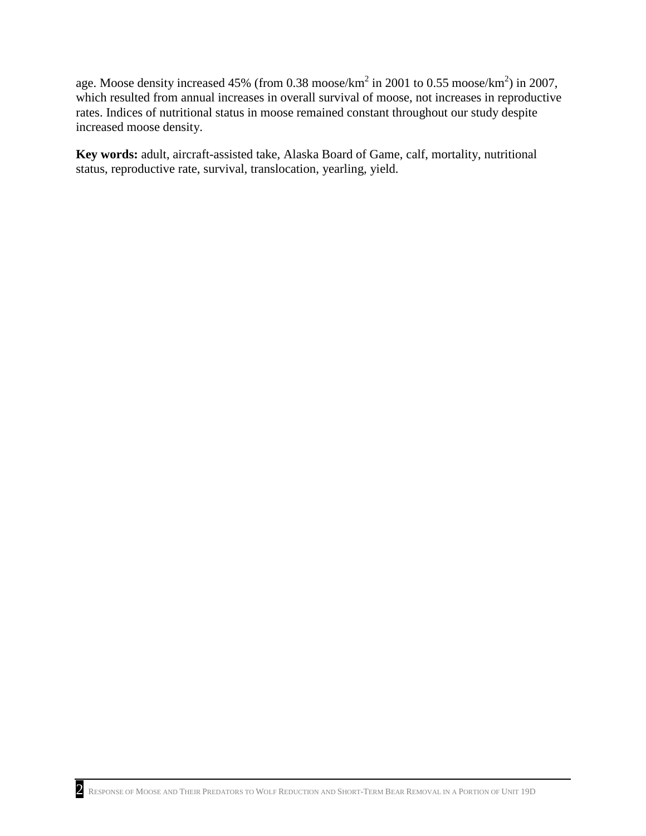age. Moose density increased 45% (from 0.38 moose/ $km^2$  in 2001 to 0.55 moose/ $km^2$ ) in 2007, which resulted from annual increases in overall survival of moose, not increases in reproductive rates. Indices of nutritional status in moose remained constant throughout our study despite increased moose density.

 **Key words:** adult, aircraft-assisted take, Alaska Board of Game, calf, mortality, nutritional status, reproductive rate, survival, translocation, yearling, yield.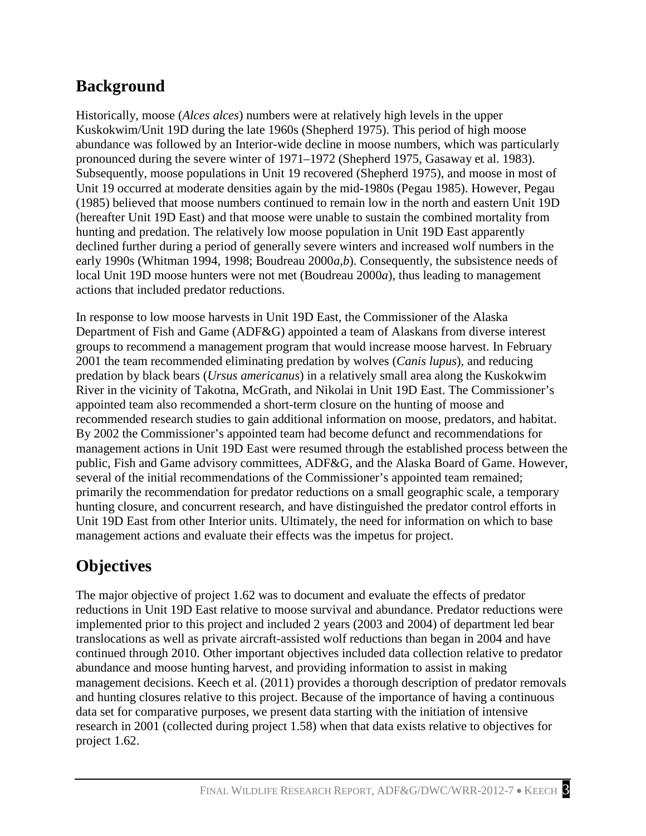## <span id="page-8-0"></span>**Background**

 Historically, moose (*Alces alces*) numbers were at relatively high levels in the upper abundance was followed by an Interior-wide decline in moose numbers, which was particularly (1985) believed that moose numbers continued to remain low in the north and eastern Unit 19D declined further during a period of generally severe winters and increased wolf numbers in the local Unit 19D moose hunters were not met (Boudreau 2000*a*), thus leading to management Kuskokwim/Unit 19D during the late 1960s (Shepherd 1975). This period of high moose pronounced during the severe winter of 1971–1972 (Shepherd 1975, Gasaway et al. 1983). Subsequently, moose populations in Unit 19 recovered (Shepherd 1975), and moose in most of Unit 19 occurred at moderate densities again by the mid-1980s (Pegau 1985). However, Pegau (hereafter Unit 19D East) and that moose were unable to sustain the combined mortality from hunting and predation. The relatively low moose population in Unit 19D East apparently early 1990s (Whitman 1994, 1998; Boudreau 2000*a,b*). Consequently, the subsistence needs of actions that included predator reductions.

 Department of Fish and Game (ADF&G) appointed a team of Alaskans from diverse interest River in the vicinity of Takotna, McGrath, and Nikolai in Unit 19D East. The Commissioner's several of the initial recommendations of the Commissioner's appointed team remained; In response to low moose harvests in Unit 19D East, the Commissioner of the Alaska groups to recommend a management program that would increase moose harvest. In February 2001 the team recommended eliminating predation by wolves (*Canis lupus*), and reducing predation by black bears (*Ursus americanus*) in a relatively small area along the Kuskokwim appointed team also recommended a short-term closure on the hunting of moose and recommended research studies to gain additional information on moose, predators, and habitat. By 2002 the Commissioner's appointed team had become defunct and recommendations for management actions in Unit 19D East were resumed through the established process between the public, Fish and Game advisory committees, ADF&G, and the Alaska Board of Game. However, primarily the recommendation for predator reductions on a small geographic scale, a temporary hunting closure, and concurrent research, and have distinguished the predator control efforts in Unit 19D East from other Interior units. Ultimately, the need for information on which to base management actions and evaluate their effects was the impetus for project.

## <span id="page-8-1"></span>**Objectives**

 The major objective of project 1.62 was to document and evaluate the effects of predator reductions in Unit 19D East relative to moose survival and abundance. Predator reductions were continued through 2010. Other important objectives included data collection relative to predator abundance and moose hunting harvest, and providing information to assist in making management decisions. Keech et al. (2011) provides a thorough description of predator removals and hunting closures relative to this project. Because of the importance of having a continuous data set for comparative purposes, we present data starting with the initiation of intensive research in 2001 (collected during project 1.58) when that data exists relative to objectives for implemented prior to this project and included 2 years (2003 and 2004) of department led bear translocations as well as private aircraft-assisted wolf reductions than began in 2004 and have project 1.62.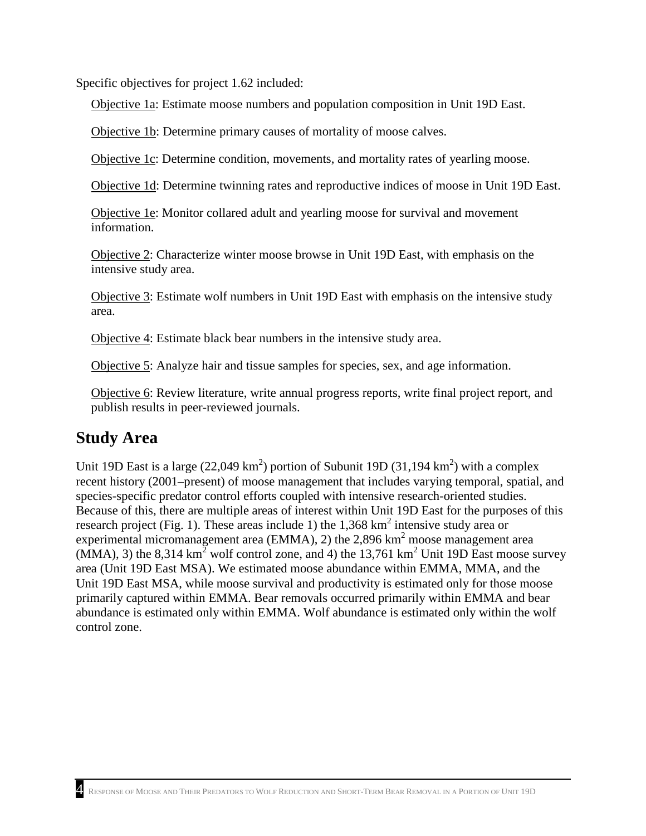Specific objectives for project 1.62 included:

Objective 1a: Estimate moose numbers and population composition in Unit 19D East.

Objective 1b: Determine primary causes of mortality of moose calves.

Objective 1c: Determine condition, movements, and mortality rates of yearling moose.

Objective 1d: Determine twinning rates and reproductive indices of moose in Unit 19D East.

Objective 1e: Monitor collared adult and yearling moose for survival and movement information.

 intensive study area. Objective 2: Characterize winter moose browse in Unit 19D East, with emphasis on the

Objective 3: Estimate wolf numbers in Unit 19D East with emphasis on the intensive study area.

Objective 4: Estimate black bear numbers in the intensive study area.

Objective 5: Analyze hair and tissue samples for species, sex, and age information.

Objective 6: Review literature, write annual progress reports, write final project report, and publish results in peer-reviewed journals.

## <span id="page-9-0"></span>**Study Area**

 Because of this, there are multiple areas of interest within Unit 19D East for the purposes of this research project (Fig. 1). These areas include 1) the  $1,368 \text{ km}^2$  intensive study area or experimental micromanagement area (EMMA), 2) the 2,896 km<sup>2</sup> moose management area (MMA), 3) the 8,314 km<sup>2</sup> wolf control zone, and 4) the 13,761 km<sup>2</sup> Unit 19D East moose survey Unit 19D East is a large  $(22,049 \text{ km}^2)$  portion of Subunit 19D  $(31,194 \text{ km}^2)$  with a complex recent history (2001–present) of moose management that includes varying temporal, spatial, and species-specific predator control efforts coupled with intensive research-oriented studies. area (Unit 19D East MSA). We estimated moose abundance within EMMA, MMA, and the Unit 19D East MSA, while moose survival and productivity is estimated only for those moose primarily captured within EMMA. Bear removals occurred primarily within EMMA and bear abundance is estimated only within EMMA. Wolf abundance is estimated only within the wolf control zone.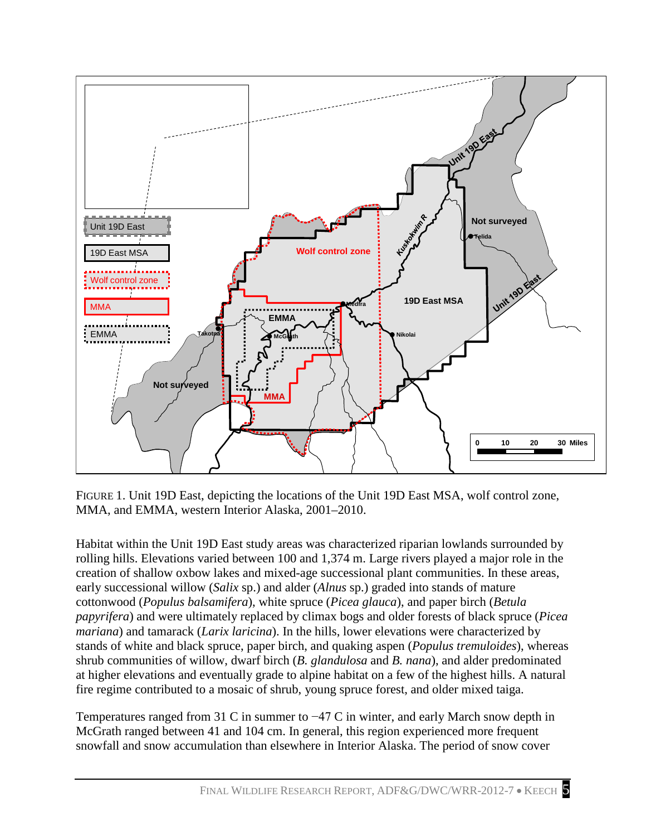

 FIGURE 1. Unit 19D East, depicting the locations of the Unit 19D East MSA, wolf control zone, MMA, and EMMA, western Interior Alaska, 2001–2010.

 rolling hills. Elevations varied between 100 and 1,374 m. Large rivers played a major role in the Habitat within the Unit 19D East study areas was characterized riparian lowlands surrounded by creation of shallow oxbow lakes and mixed-age successional plant communities. In these areas, early successional willow (*Salix* sp.) and alder (*Alnus* sp.) graded into stands of mature cottonwood (*Populus balsamifera*), white spruce (*Picea glauca*), and paper birch (*Betula papyrifera*) and were ultimately replaced by climax bogs and older forests of black spruce (*Picea mariana*) and tamarack (*Larix laricina*). In the hills, lower elevations were characterized by stands of white and black spruce, paper birch, and quaking aspen (*Populus tremuloides*), whereas shrub communities of willow, dwarf birch (*B. glandulosa* and *B. nana*), and alder predominated at higher elevations and eventually grade to alpine habitat on a few of the highest hills. A natural fire regime contributed to a mosaic of shrub, young spruce forest, and older mixed taiga.

 McGrath ranged between 41 and 104 cm. In general, this region experienced more frequent Temperatures ranged from 31 C in summer to −47 C in winter, and early March snow depth in snowfall and snow accumulation than elsewhere in Interior Alaska. The period of snow cover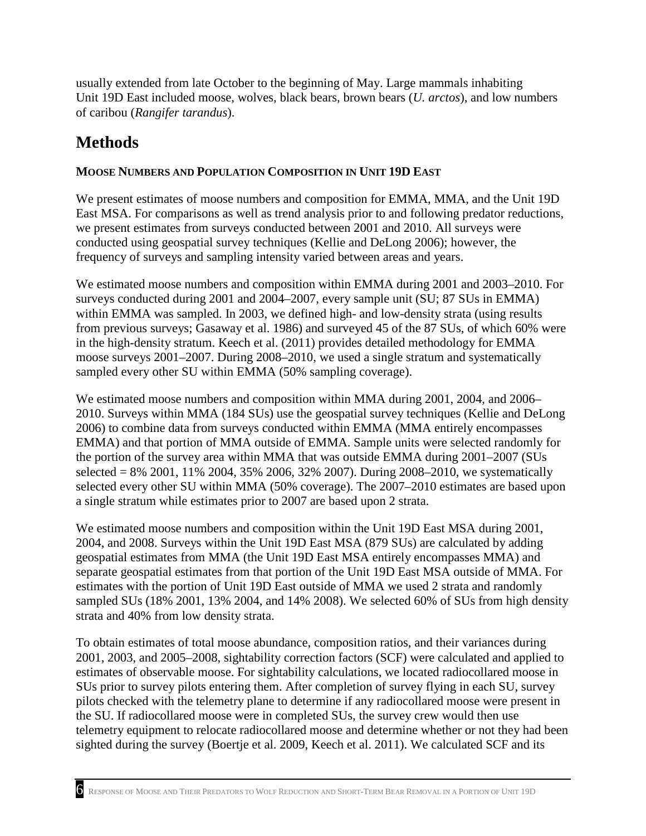usually extended from late October to the beginning of May. Large mammals inhabiting Unit 19D East included moose, wolves, black bears, brown bears (*U. arctos*), and low numbers of caribou (*Rangifer tarandus*).

## <span id="page-11-0"></span>**Methods**

## <span id="page-11-1"></span>**MOOSE NUMBERS AND POPULATION COMPOSITION IN UNIT 19D EAST**

 We present estimates of moose numbers and composition for EMMA, MMA, and the Unit 19D conducted using geospatial survey techniques (Kellie and DeLong 2006); however, the East MSA. For comparisons as well as trend analysis prior to and following predator reductions, we present estimates from surveys conducted between 2001 and 2010. All surveys were frequency of surveys and sampling intensity varied between areas and years.

We estimated moose numbers and composition within EMMA during 2001 and 2003–2010. For surveys conducted during 2001 and 2004–2007, every sample unit (SU; 87 SUs in EMMA) within EMMA was sampled. In 2003, we defined high- and low-density strata (using results from previous surveys; Gasaway et al. 1986) and surveyed 45 of the 87 SUs, of which 60% were in the high-density stratum. Keech et al. (2011) provides detailed methodology for EMMA moose surveys 2001–2007. During 2008–2010, we used a single stratum and systematically sampled every other SU within EMMA (50% sampling coverage).

 EMMA) and that portion of MMA outside of EMMA. Sample units were selected randomly for the portion of the survey area within MMA that was outside EMMA during 2001–2007 (SUs a single stratum while estimates prior to 2007 are based upon 2 strata. We estimated moose numbers and composition within MMA during 2001, 2004, and 2006– 2010. Surveys within MMA (184 SUs) use the geospatial survey techniques (Kellie and DeLong 2006) to combine data from surveys conducted within EMMA (MMA entirely encompasses selected = 8% 2001, 11% 2004, 35% 2006, 32% 2007). During 2008–2010, we systematically selected every other SU within MMA (50% coverage). The 2007–2010 estimates are based upon

 We estimated moose numbers and composition within the Unit 19D East MSA during 2001, 2004, and 2008. Surveys within the Unit 19D East MSA (879 SUs) are calculated by adding separate geospatial estimates from that portion of the Unit 19D East MSA outside of MMA. For estimates with the portion of Unit 19D East outside of MMA we used 2 strata and randomly sampled SUs (18% 2001, 13% 2004, and 14% 2008). We selected 60% of SUs from high density strata and 40% from low density strata. geospatial estimates from MMA (the Unit 19D East MSA entirely encompasses MMA) and

 estimates of observable moose. For sightability calculations, we located radiocollared moose in sighted during the survey (Boertje et al. 2009, Keech et al. 2011). We calculated SCF and its To obtain estimates of total moose abundance, composition ratios, and their variances during 2001, 2003, and 2005–2008, sightability correction factors (SCF) were calculated and applied to SUs prior to survey pilots entering them. After completion of survey flying in each SU, survey pilots checked with the telemetry plane to determine if any radiocollared moose were present in the SU. If radiocollared moose were in completed SUs, the survey crew would then use telemetry equipment to relocate radiocollared moose and determine whether or not they had been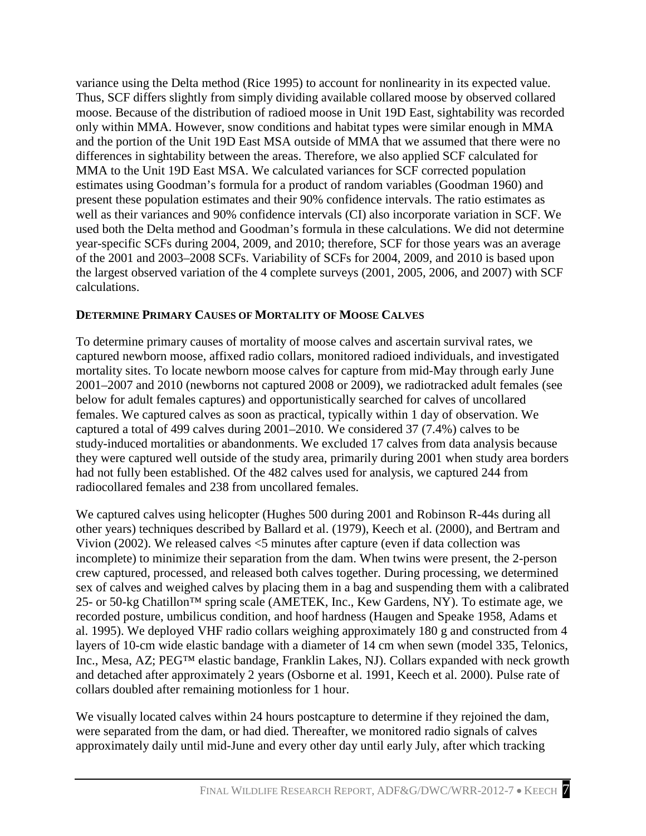and the portion of the Unit 19D East MSA outside of MMA that we assumed that there were no well as their variances and 90% confidence intervals (CI) also incorporate variation in SCF. We used both the Delta method and Goodman's formula in these calculations. We did not determine year-specific SCFs during 2004, 2009, and 2010; therefore, SCF for those years was an average variance using the Delta method (Rice 1995) to account for nonlinearity in its expected value. Thus, SCF differs slightly from simply dividing available collared moose by observed collared moose. Because of the distribution of radioed moose in Unit 19D East, sightability was recorded only within MMA. However, snow conditions and habitat types were similar enough in MMA differences in sightability between the areas. Therefore, we also applied SCF calculated for MMA to the Unit 19D East MSA. We calculated variances for SCF corrected population estimates using Goodman's formula for a product of random variables (Goodman 1960) and present these population estimates and their 90% confidence intervals. The ratio estimates as of the 2001 and 2003–2008 SCFs. Variability of SCFs for 2004, 2009, and 2010 is based upon the largest observed variation of the 4 complete surveys (2001, 2005, 2006, and 2007) with SCF calculations.

### <span id="page-12-0"></span>**DETERMINE PRIMARY CAUSES OF MORTALITY OF MOOSE CALVES**

 study-induced mortalities or abandonments. We excluded 17 calves from data analysis because they were captured well outside of the study area, primarily during 2001 when study area borders had not fully been established. Of the 482 calves used for analysis, we captured 244 from radiocollared females and 238 from uncollared females. To determine primary causes of mortality of moose calves and ascertain survival rates, we captured newborn moose, affixed radio collars, monitored radioed individuals, and investigated mortality sites. To locate newborn moose calves for capture from mid-May through early June 2001–2007 and 2010 (newborns not captured 2008 or 2009), we radiotracked adult females (see below for adult females captures) and opportunistically searched for calves of uncollared females. We captured calves as soon as practical, typically within 1 day of observation. We captured a total of 499 calves during 2001–2010. We considered 37 (7.4%) calves to be

 We captured calves using helicopter (Hughes 500 during 2001 and Robinson R-44s during all Vivion (2002). We released calves <5 minutes after capture (even if data collection was recorded posture, umbilicus condition, and hoof hardness (Haugen and Speake 1958, Adams et collars doubled after remaining motionless for 1 hour. other years) techniques described by Ballard et al. (1979), Keech et al. (2000), and Bertram and incomplete) to minimize their separation from the dam. When twins were present, the 2-person crew captured, processed, and released both calves together. During processing, we determined sex of calves and weighed calves by placing them in a bag and suspending them with a calibrated 25- or 50-kg Chatillon™ spring scale (AMETEK, Inc., Kew Gardens, NY). To estimate age, we al. 1995). We deployed VHF radio collars weighing approximately 180 g and constructed from 4 layers of 10-cm wide elastic bandage with a diameter of 14 cm when sewn (model 335, Telonics, Inc., Mesa, AZ; PEG™ elastic bandage, Franklin Lakes, NJ). Collars expanded with neck growth and detached after approximately 2 years (Osborne et al. 1991, Keech et al. 2000). Pulse rate of

 were separated from the dam, or had died. Thereafter, we monitored radio signals of calves We visually located calves within 24 hours postcapture to determine if they rejoined the dam, approximately daily until mid-June and every other day until early July, after which tracking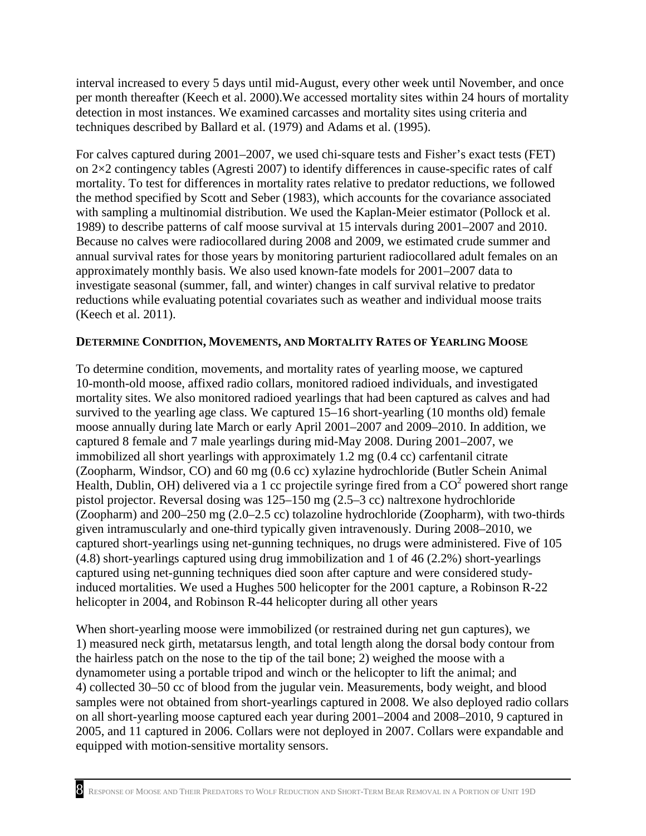interval increased to every 5 days until mid-August, every other week until November, and once per month thereafter (Keech et al. 2000).We accessed mortality sites within 24 hours of mortality techniques described by Ballard et al. (1979) and Adams et al. (1995). detection in most instances. We examined carcasses and mortality sites using criteria and

 Because no calves were radiocollared during 2008 and 2009, we estimated crude summer and For calves captured during 2001–2007, we used chi-square tests and Fisher's exact tests (FET) on 2×2 contingency tables (Agresti 2007) to identify differences in cause-specific rates of calf mortality. To test for differences in mortality rates relative to predator reductions, we followed the method specified by Scott and Seber (1983), which accounts for the covariance associated with sampling a multinomial distribution. We used the Kaplan-Meier estimator (Pollock et al. 1989) to describe patterns of calf moose survival at 15 intervals during 2001–2007 and 2010. annual survival rates for those years by monitoring parturient radiocollared adult females on an approximately monthly basis. We also used known-fate models for 2001–2007 data to investigate seasonal (summer, fall, and winter) changes in calf survival relative to predator reductions while evaluating potential covariates such as weather and individual moose traits (Keech et al. 2011).

### <span id="page-13-0"></span>**DETERMINE CONDITION, MOVEMENTS, AND MORTALITY RATES OF YEARLING MOOSE**

 To determine condition, movements, and mortality rates of yearling moose, we captured survived to the yearling age class. We captured 15–16 short-yearling (10 months old) female moose annually during late March or early April 2001–2007 and 2009–2010. In addition, we immobilized all short yearlings with approximately 1.2 mg (0.4 cc) carfentanil citrate (Zoopharm, Windsor, CO) and 60 mg (0.6 cc) xylazine hydrochloride (Butler Schein Animal (Zoopharm) and 200–250 mg (2.0–2.5 cc) tolazoline hydrochloride (Zoopharm), with two-thirds captured using net-gunning techniques died soon after capture and were considered study- helicopter in 2004, and Robinson R-44 helicopter during all other years 10-month-old moose, affixed radio collars, monitored radioed individuals, and investigated mortality sites. We also monitored radioed yearlings that had been captured as calves and had captured 8 female and 7 male yearlings during mid-May 2008. During 2001–2007, we Health, Dublin, OH) delivered via a 1 cc projectile syringe fired from a  $CO<sup>2</sup>$  powered short range pistol projector. Reversal dosing was 125–150 mg (2.5–3 cc) naltrexone hydrochloride given intramuscularly and one-third typically given intravenously. During 2008–2010, we captured short-yearlings using net-gunning techniques, no drugs were administered. Five of 105 (4.8) short-yearlings captured using drug immobilization and 1 of 46 (2.2%) short-yearlings induced mortalities. We used a Hughes 500 helicopter for the 2001 capture, a Robinson R-22

 1) measured neck girth, metatarsus length, and total length along the dorsal body contour from When short-yearling moose were immobilized (or restrained during net gun captures), we the hairless patch on the nose to the tip of the tail bone; 2) weighed the moose with a dynamometer using a portable tripod and winch or the helicopter to lift the animal; and 4) collected 30–50 cc of blood from the jugular vein. Measurements, body weight, and blood samples were not obtained from short-yearlings captured in 2008. We also deployed radio collars on all short-yearling moose captured each year during 2001–2004 and 2008–2010, 9 captured in 2005, and 11 captured in 2006. Collars were not deployed in 2007. Collars were expandable and equipped with motion-sensitive mortality sensors.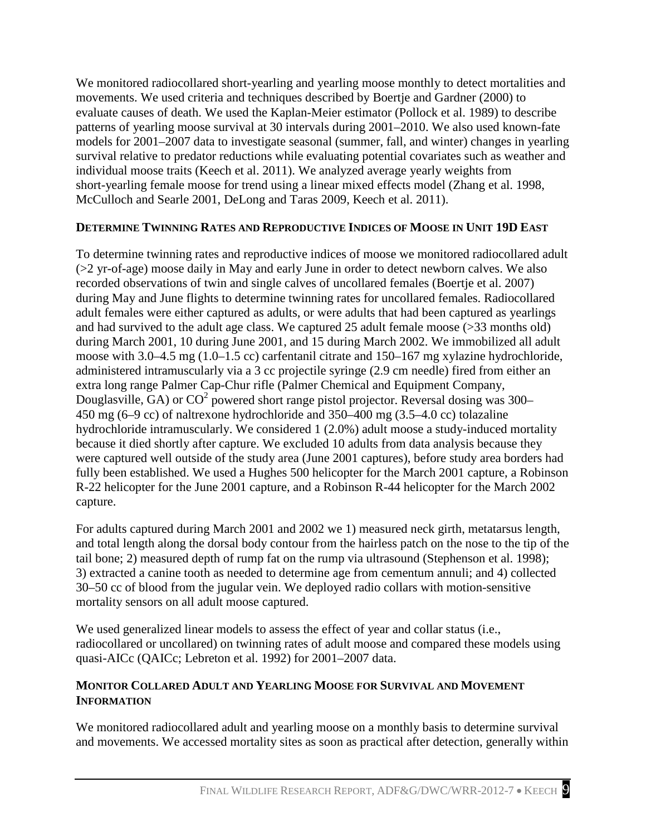evaluate causes of death. We used the Kaplan-Meier estimator (Pollock et al. 1989) to describe models for 2001–2007 data to investigate seasonal (summer, fall, and winter) changes in yearling We monitored radiocollared short-yearling and yearling moose monthly to detect mortalities and movements. We used criteria and techniques described by Boertje and Gardner (2000) to patterns of yearling moose survival at 30 intervals during 2001–2010. We also used known-fate survival relative to predator reductions while evaluating potential covariates such as weather and individual moose traits (Keech et al. 2011). We analyzed average yearly weights from short-yearling female moose for trend using a linear mixed effects model (Zhang et al. 1998, McCulloch and Searle 2001, DeLong and Taras 2009, Keech et al. 2011).

## <span id="page-14-0"></span>**DETERMINE TWINNING RATES AND REPRODUCTIVE INDICES OF MOOSE IN UNIT 19D EAST**

 (>2 yr-of-age) moose daily in May and early June in order to detect newborn calves. We also recorded observations of twin and single calves of uncollared females (Boertje et al. 2007) adult females were either captured as adults, or were adults that had been captured as yearlings and had survived to the adult age class. We captured 25 adult female moose (>33 months old) moose with 3.0–4.5 mg (1.0–1.5 cc) carfentanil citrate and 150–167 mg xylazine hydrochloride, Douglasville, GA) or  $CO^2$  powered short range pistol projector. Reversal dosing was 300– 450 mg (6–9 cc) of naltrexone hydrochloride and 350–400 mg (3.5–4.0 cc) tolazaline To determine twinning rates and reproductive indices of moose we monitored radiocollared adult during May and June flights to determine twinning rates for uncollared females. Radiocollared during March 2001, 10 during June 2001, and 15 during March 2002. We immobilized all adult administered intramuscularly via a 3 cc projectile syringe (2.9 cm needle) fired from either an extra long range Palmer Cap-Chur rifle (Palmer Chemical and Equipment Company, hydrochloride intramuscularly. We considered 1 (2.0%) adult moose a study-induced mortality because it died shortly after capture. We excluded 10 adults from data analysis because they were captured well outside of the study area (June 2001 captures), before study area borders had fully been established. We used a Hughes 500 helicopter for the March 2001 capture, a Robinson R-22 helicopter for the June 2001 capture, and a Robinson R-44 helicopter for the March 2002 capture.

For adults captured during March 2001 and 2002 we 1) measured neck girth, metatarsus length, and total length along the dorsal body contour from the hairless patch on the nose to the tip of the tail bone; 2) measured depth of rump fat on the rump via ultrasound (Stephenson et al. 1998); 3) extracted a canine tooth as needed to determine age from cementum annuli; and 4) collected 30–50 cc of blood from the jugular vein. We deployed radio collars with motion-sensitive mortality sensors on all adult moose captured.

 We used generalized linear models to assess the effect of year and collar status (i.e., radiocollared or uncollared) on twinning rates of adult moose and compared these models using quasi-AICc (QAICc; Lebreton et al. 1992) for 2001–2007 data.

## <span id="page-14-1"></span>**MONITOR COLLARED ADULT AND YEARLING MOOSE FOR SURVIVAL AND MOVEMENT INFORMATION**

We monitored radiocollared adult and yearling moose on a monthly basis to determine survival and movements. We accessed mortality sites as soon as practical after detection, generally within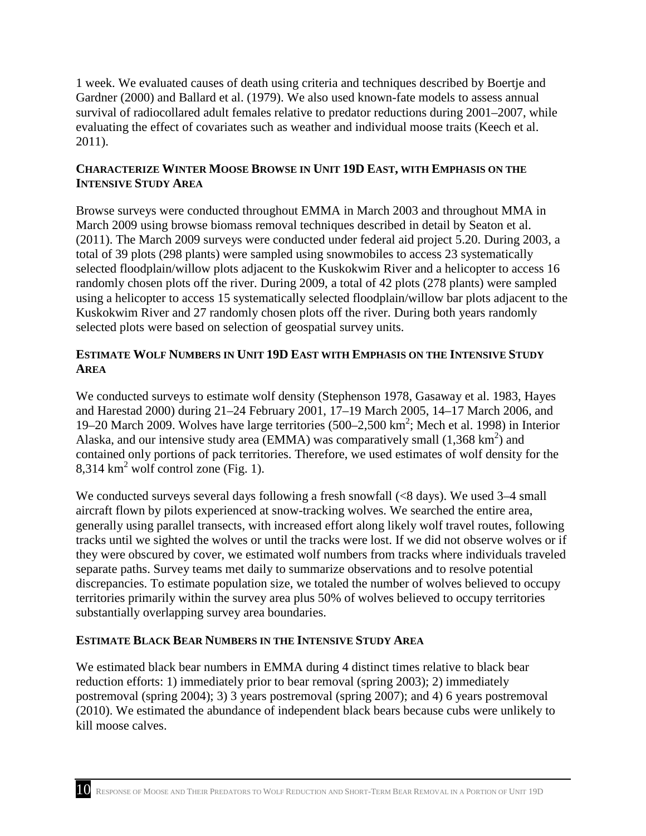1 week. We evaluated causes of death using criteria and techniques described by Boertje and Gardner (2000) and Ballard et al. (1979). We also used known-fate models to assess annual evaluating the effect of covariates such as weather and individual moose traits (Keech et al. survival of radiocollared adult females relative to predator reductions during 2001–2007, while 2011).

### <span id="page-15-0"></span> **CHARACTERIZE WINTER MOOSE BROWSE IN UNIT 19D EAST, WITH EMPHASIS ON THE INTENSIVE STUDY AREA**

 March 2009 using browse biomass removal techniques described in detail by Seaton et al. using a helicopter to access 15 systematically selected floodplain/willow bar plots adjacent to the Kuskokwim River and 27 randomly chosen plots off the river. During both years randomly Browse surveys were conducted throughout EMMA in March 2003 and throughout MMA in (2011). The March 2009 surveys were conducted under federal aid project 5.20. During 2003, a total of 39 plots (298 plants) were sampled using snowmobiles to access 23 systematically selected floodplain/willow plots adjacent to the Kuskokwim River and a helicopter to access 16 randomly chosen plots off the river. During 2009, a total of 42 plots (278 plants) were sampled selected plots were based on selection of geospatial survey units.

## <span id="page-15-1"></span>**ESTIMATE WOLF NUMBERS IN UNIT 19D EAST WITH EMPHASIS ON THE INTENSIVE STUDY AREA**

 contained only portions of pack territories. Therefore, we used estimates of wolf density for the 8,314  $km^2$  wolf control zone (Fig. 1). We conducted surveys to estimate wolf density (Stephenson 1978, Gasaway et al. 1983, Hayes and Harestad 2000) during 21–24 February 2001, 17–19 March 2005, 14–17 March 2006, and 19–20 March 2009. Wolves have large territories (500–2,500 km<sup>2</sup>; Mech et al. 1998) in Interior Alaska, and our intensive study area (EMMA) was comparatively small  $(1,368 \text{ km}^2)$  and

We conducted surveys several days following a fresh snowfall (<8 days). We used 3-4 small aircraft flown by pilots experienced at snow-tracking wolves. We searched the entire area, generally using parallel transects, with increased effort along likely wolf travel routes, following tracks until we sighted the wolves or until the tracks were lost. If we did not observe wolves or if they were obscured by cover, we estimated wolf numbers from tracks where individuals traveled separate paths. Survey teams met daily to summarize observations and to resolve potential discrepancies. To estimate population size, we totaled the number of wolves believed to occupy territories primarily within the survey area plus 50% of wolves believed to occupy territories substantially overlapping survey area boundaries.

### <span id="page-15-2"></span>**ESTIMATE BLACK BEAR NUMBERS IN THE INTENSIVE STUDY AREA**

We estimated black bear numbers in EMMA during 4 distinct times relative to black bear reduction efforts: 1) immediately prior to bear removal (spring 2003); 2) immediately postremoval (spring 2004); 3) 3 years postremoval (spring 2007); and 4) 6 years postremoval (2010). We estimated the abundance of independent black bears because cubs were unlikely to kill moose calves.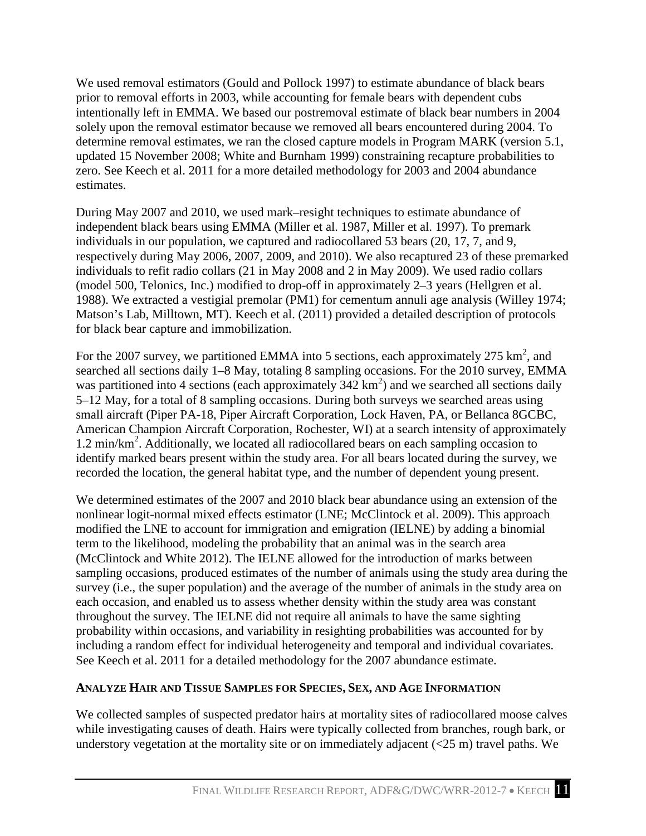intentionally left in EMMA. We based our postremoval estimate of black bear numbers in 2004 We used removal estimators (Gould and Pollock 1997) to estimate abundance of black bears prior to removal efforts in 2003, while accounting for female bears with dependent cubs solely upon the removal estimator because we removed all bears encountered during 2004. To determine removal estimates, we ran the closed capture models in Program MARK (version 5.1, updated 15 November 2008; White and Burnham 1999) constraining recapture probabilities to zero. See Keech et al. 2011 for a more detailed methodology for 2003 and 2004 abundance estimates.

 independent black bears using EMMA (Miller et al. 1987, Miller et al. 1997). To premark individuals to refit radio collars (21 in May 2008 and 2 in May 2009). We used radio collars (model 500, Telonics, Inc.) modified to drop-off in approximately 2–3 years (Hellgren et al. During May 2007 and 2010, we used mark–resight techniques to estimate abundance of individuals in our population, we captured and radiocollared 53 bears (20, 17, 7, and 9, respectively during May 2006, 2007, 2009, and 2010). We also recaptured 23 of these premarked 1988). We extracted a vestigial premolar (PM1) for cementum annuli age analysis (Willey 1974; Matson's Lab, Milltown, MT). Keech et al. (2011) provided a detailed description of protocols for black bear capture and immobilization.

was partitioned into 4 sections (each approximately  $342 \text{ km}^2$ ) and we searched all sections daily 5–12 May, for a total of 8 sampling occasions. During both surveys we searched areas using American Champion Aircraft Corporation, Rochester, WI) at a search intensity of approximately 1.2 min/km<sup>2</sup>. Additionally, we located all radiocollared bears on each sampling occasion to identify marked bears present within the study area. For all bears located during the survey, we recorded the location, the general habitat type, and the number of dependent young present. For the 2007 survey, we partitioned EMMA into 5 sections, each approximately 275  $\text{km}^2$ , and searched all sections daily 1–8 May, totaling 8 sampling occasions. For the 2010 survey, EMMA small aircraft (Piper PA-18, Piper Aircraft Corporation, Lock Haven, PA, or Bellanca 8GCBC,

 We determined estimates of the 2007 and 2010 black bear abundance using an extension of the modified the LNE to account for immigration and emigration (IELNE) by adding a binomial each occasion, and enabled us to assess whether density within the study area was constant throughout the survey. The IELNE did not require all animals to have the same sighting nonlinear logit-normal mixed effects estimator (LNE; McClintock et al. 2009). This approach term to the likelihood, modeling the probability that an animal was in the search area (McClintock and White 2012). The IELNE allowed for the introduction of marks between sampling occasions, produced estimates of the number of animals using the study area during the survey (i.e., the super population) and the average of the number of animals in the study area on probability within occasions, and variability in resighting probabilities was accounted for by including a random effect for individual heterogeneity and temporal and individual covariates. See Keech et al. 2011 for a detailed methodology for the 2007 abundance estimate.

## <span id="page-16-0"></span> **ANALYZE HAIR AND TISSUE SAMPLES FOR SPECIES, SEX, AND AGE INFORMATION**

 understory vegetation at the mortality site or on immediately adjacent (<25 m) travel paths. We We collected samples of suspected predator hairs at mortality sites of radiocollared moose calves while investigating causes of death. Hairs were typically collected from branches, rough bark, or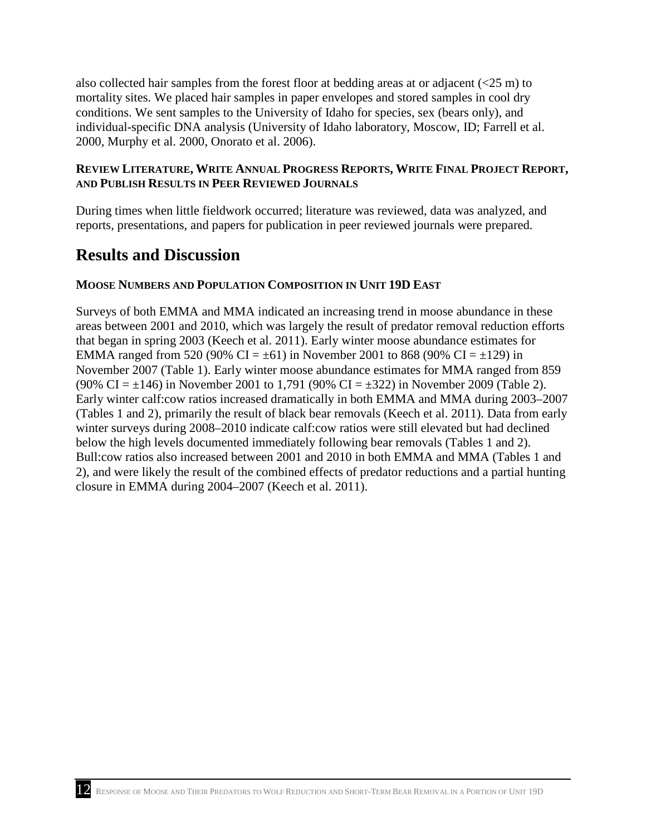also collected hair samples from the forest floor at bedding areas at or adjacent  $(<25 \text{ m})$  to mortality sites. We placed hair samples in paper envelopes and stored samples in cool dry conditions. We sent samples to the University of Idaho for species, sex (bears only), and individual-specific DNA analysis (University of Idaho laboratory, Moscow, ID; Farrell et al. 2000, Murphy et al. 2000, Onorato et al. 2006).

### <span id="page-17-0"></span>**REVIEW LITERATURE, WRITE ANNUAL PROGRESS REPORTS, WRITE FINAL PROJECT REPORT, AND PUBLISH RESULTS IN PEER REVIEWED JOURNALS**

During times when little fieldwork occurred; literature was reviewed, data was analyzed, and reports, presentations, and papers for publication in peer reviewed journals were prepared.

## <span id="page-17-1"></span>**Results and Discussion**

### <span id="page-17-2"></span>**MOOSE NUMBERS AND POPULATION COMPOSITION IN UNIT 19D EAST**

 areas between 2001 and 2010, which was largely the result of predator removal reduction efforts EMMA ranged from 520 (90% CI =  $\pm$ 61) in November 2001 to 868 (90% CI =  $\pm$ 129) in November 2007 (Table 1). Early winter moose abundance estimates for MMA ranged from 859 (90% CI =  $\pm$ 146) in November 2001 to 1,791 (90% CI =  $\pm$ 322) in November 2009 (Table 2). below the high levels documented immediately following bear removals (Tables 1 and 2). Bull:cow ratios also increased between 2001 and 2010 in both EMMA and MMA (Tables 1 and Surveys of both EMMA and MMA indicated an increasing trend in moose abundance in these that began in spring 2003 (Keech et al. 2011). Early winter moose abundance estimates for Early winter calf:cow ratios increased dramatically in both EMMA and MMA during 2003–2007 (Tables 1 and 2), primarily the result of black bear removals (Keech et al. 2011). Data from early winter surveys during 2008–2010 indicate calf:cow ratios were still elevated but had declined 2), and were likely the result of the combined effects of predator reductions and a partial hunting closure in EMMA during 2004–2007 (Keech et al. 2011).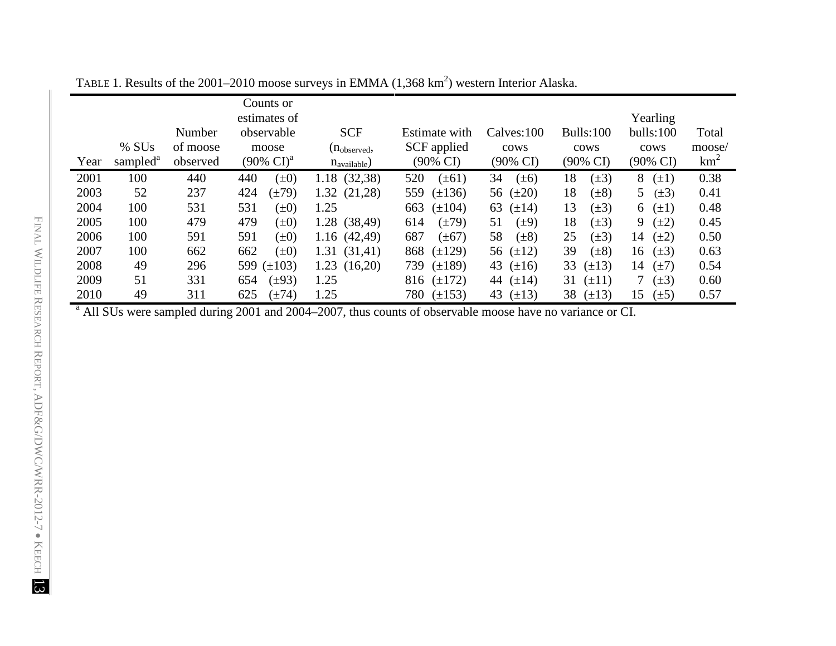|      |                      |          | Counts or                      |                   |                                                                                                                      |                     |                     |                     |        |
|------|----------------------|----------|--------------------------------|-------------------|----------------------------------------------------------------------------------------------------------------------|---------------------|---------------------|---------------------|--------|
|      |                      |          | estimates of                   |                   |                                                                                                                      |                     |                     | Yearling            |        |
|      |                      | Number   | observable                     | <b>SCF</b>        | Estimate with                                                                                                        | Calves:100          | Bulls:100           | bulls:100           | Total  |
|      | $%$ SUs              | of moose | moose                          | $(n_{observed},$  | SCF applied                                                                                                          | cows                | cows                | cows                | moose/ |
| Year | sampled <sup>a</sup> | observed | $(90\% \text{ CI})^{\text{a}}$ | $n_{available}$ ) | $(90\% \text{ CI})$                                                                                                  | $(90\% \text{ CI})$ | $(90\% \text{ CI})$ | $(90\% \text{ CI})$ | $km^2$ |
| 2001 | 100                  | 440      | $(\pm 0)$<br>440               | 1.18 (32,38)      | 520<br>$(\pm 61)$                                                                                                    | 34<br>$(\pm 6)$     | 18<br>$(\pm 3)$     | 8<br>$(\pm 1)$      | 0.38   |
| 2003 | 52                   | 237      | 424<br>$(\pm 79)$              | 1.32(21,28)       | 559<br>$(\pm 136)$                                                                                                   | 56 $(\pm 20)$       | 18<br>$(\pm 8)$     | 5<br>$(\pm 3)$      | 0.41   |
| 2004 | 100                  | 531      | 531<br>$(\pm 0)$               | 1.25              | $(\pm 104)$<br>663                                                                                                   | 63<br>$(\pm 14)$    | 13<br>$(\pm 3)$     | $(\pm 1)$<br>6      | 0.48   |
| 2005 | 100                  | 479      | 479<br>$(\pm 0)$               | 1.28 (38,49)      | $(\pm 79)$<br>614                                                                                                    | 51<br>$(\pm 9)$     | 18<br>$(\pm 3)$     | 9<br>$(\pm 2)$      | 0.45   |
| 2006 | 100                  | 591      | 591<br>$(\pm 0)$               | 1.16(42,49)       | 687<br>$(\pm 67)$                                                                                                    | 58<br>$(\pm 8)$     | 25<br>$(\pm 3)$     | 14<br>$(\pm 2)$     | 0.50   |
| 2007 | 100                  | 662      | 662<br>$(\pm 0)$               | (31,41)<br>1.31   | $(\pm 129)$<br>868                                                                                                   | 56 $(\pm 12)$       | 39<br>$(\pm 8)$     | 16<br>$(\pm 3)$     | 0.63   |
| 2008 | 49                   | 296      | 599 $(\pm 103)$                | 1.23(16,20)       | $(\pm 189)$<br>739                                                                                                   | 43 $(\pm 16)$       | 33<br>$(\pm 13)$    | 14<br>$(\pm 7)$     | 0.54   |
| 2009 | 51                   | 331      | 654<br>$(\pm 93)$              | 1.25              | 816 $(\pm 172)$                                                                                                      | 44 $(\pm 14)$       | $(\pm 11)$<br>31    | $(\pm 3)$           | 0.60   |
| 2010 | 49                   | 311      | 625<br>$(\pm 74)$              | 1.25              | 780 $(\pm 153)$                                                                                                      | 43 $(\pm 13)$       | 38 $(\pm 13)$       | 15<br>$(\pm 5)$     | 0.57   |
|      |                      |          |                                |                   | <sup>a</sup> All SUs were sampled during 2001 and 2004–2007, thus counts of observable moose have no variance or CI. |                     |                     |                     |        |

TABLE 1. Results of the 2001–2010 moose surveys in EMMA  $(1,368 \text{ km}^2)$  western Interior Alaska.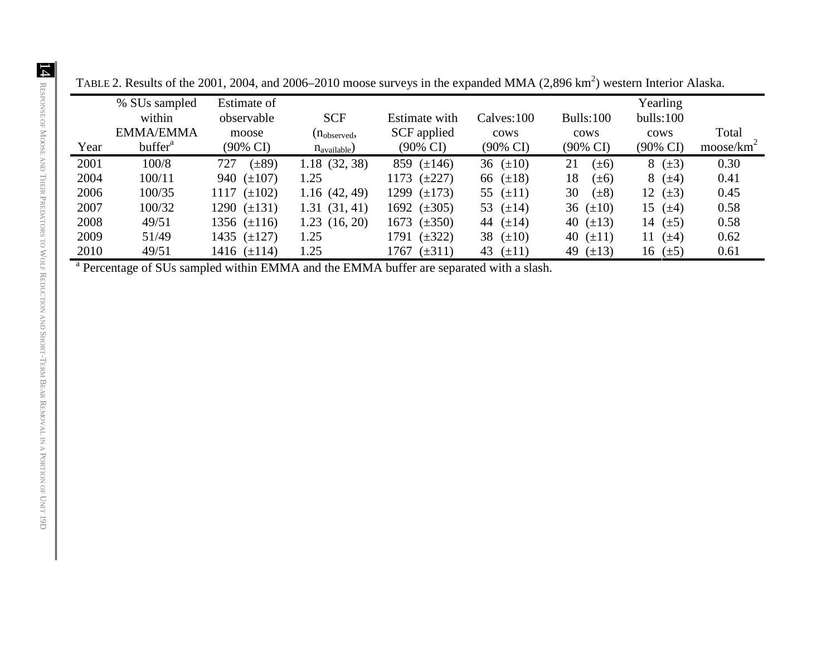|      | % SUs sampled<br>within<br><b>EMMA/EMMA</b> | Estimate of<br>observable<br>moose | <b>SCF</b><br>$(n_{observed},$ | Estimate with<br>SCF applied | Calves:100<br>cows  | Bulls:100<br>cows | Yearling<br>bulls:100<br>cows | Total                 |
|------|---------------------------------------------|------------------------------------|--------------------------------|------------------------------|---------------------|-------------------|-------------------------------|-----------------------|
| Year | buffer <sup>a</sup>                         | $(90\% \text{ CI})$                | $n_{\text{available}}$ )       | $(90\% \text{ CI})$          | $(90\% \text{ CI})$ | (90% CI)          | $(90\% \text{ CI})$           | moose/km <sup>2</sup> |
| 2001 | 100/8                                       | $(\pm 89)$<br>727                  | 1.18(32, 38)                   | 859 $(\pm 146)$              | 36 $(\pm 10)$       | 21<br>$(\pm 6)$   | 8 $(\pm 3)$                   | 0.30                  |
| 2004 | 100/11                                      | 940 $(\pm 107)$                    | 1.25                           | 1173 $(\pm 227)$             | 66 $(\pm 18)$       | 18<br>$(\pm 6)$   | $8 (+4)$                      | 0.41                  |
| 2006 | 100/35                                      | 1117 $(\pm 102)$                   | 1.16(42, 49)                   | 1299 $(\pm 173)$             | 55 $(\pm 11)$       | 30<br>$(\pm 8)$   | 12 $(\pm 3)$                  | 0.45                  |
| 2007 | 100/32                                      | 1290 $(\pm 131)$                   | 1.31(31, 41)                   | 1692 $(\pm 305)$             | 53 $(\pm 14)$       | 36 $(\pm 10)$     | 15 $(\pm 4)$                  | 0.58                  |
| 2008 | 49/51                                       | 1356 $(\pm 116)$                   | 1.23(16, 20)                   | 1673 $(\pm 350)$             | 44 $(\pm 14)$       | 40 $(\pm 13)$     | 14 $(\pm 5)$                  | 0.58                  |
| 2009 | 51/49                                       | 1435 $(\pm 127)$                   | 1.25                           | $(\pm 322)$<br>1791          | 38 $(\pm 10)$       | 40 $(\pm 11)$     | $(\pm 4)$<br>11               | 0.62                  |
| 2010 | 49/51                                       | 1416 $(\pm 114)$                   | 1.25                           | 1767 $(\pm 311)$             | 43 $(\pm 11)$       | 49 $(\pm 13)$     | 16 $(\pm 5)$                  | 0.61                  |

TABLE 2. Results of the 2001, 2004, and 2006–2010 moose surveys in the expanded MMA  $(2,896 \text{ km}^2)$  western Interior Alaska.

<sup>a</sup> Percentage of SUs sampled within EMMA and the EMMA buffer are separated with a slash.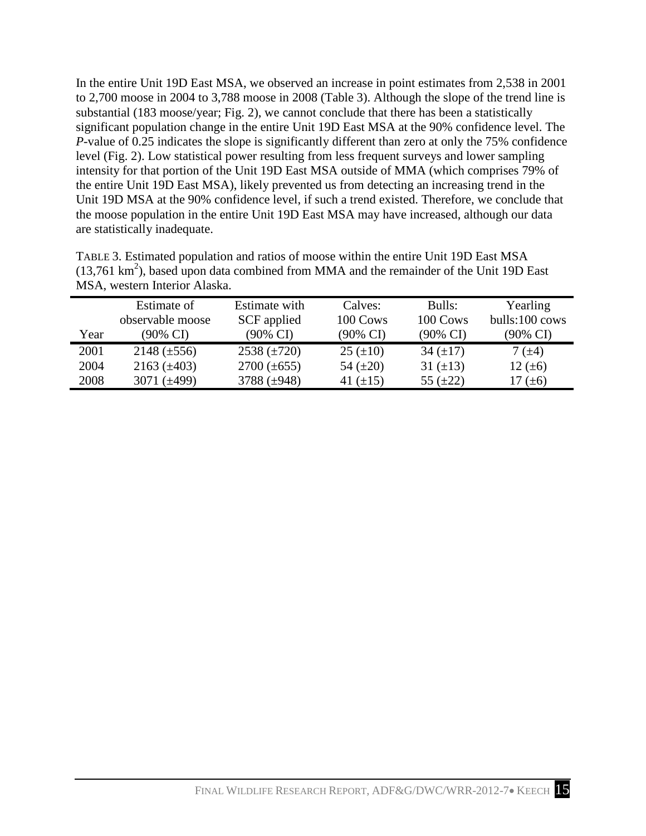In the entire Unit 19D East MSA, we observed an increase in point estimates from 2,538 in 2001 to 2,700 moose in 2004 to 3,788 moose in 2008 (Table 3). Although the slope of the trend line is substantial (183 moose/year; Fig. 2), we cannot conclude that there has been a statistically significant population change in the entire Unit 19D East MSA at the 90% confidence level. The level (Fig. 2). Low statistical power resulting from less frequent surveys and lower sampling intensity for that portion of the Unit 19D East MSA outside of MMA (which comprises 79% of the entire Unit 19D East MSA), likely prevented us from detecting an increasing trend in the Unit 19D MSA at the 90% confidence level, if such a trend existed. Therefore, we conclude that the moose population in the entire Unit 19D East MSA may have increased, although our data *P*-value of 0.25 indicates the slope is significantly different than zero at only the 75% confidence are statistically inadequate.

| TABLE 3. Estimated population and ratios of moose within the entire Unit 19D East MSA              |
|----------------------------------------------------------------------------------------------------|
| $(13,761 \text{ km}^2)$ , based upon data combined from MMA and the remainder of the Unit 19D East |
| MSA, western Interior Alaska.                                                                      |

| SCF applied<br>observable moose<br>100 Cows<br>100 Cows<br>$(90\% \text{ CI})$<br>$(90\% \text{ CI})$<br>$(90\% \text{ CI})$<br>(90% CI)<br>Year<br>$(90\% \text{ CI})$ |      | Estimate of      | Estimate with    | Calves:         | Bulls:        | Yearling       |
|-------------------------------------------------------------------------------------------------------------------------------------------------------------------------|------|------------------|------------------|-----------------|---------------|----------------|
|                                                                                                                                                                         |      |                  |                  |                 |               | bulls:100 cows |
|                                                                                                                                                                         |      |                  |                  |                 |               |                |
|                                                                                                                                                                         | 2001 | $2148 (\pm 556)$ | 2538 $(\pm 720)$ | $25 \ (\pm 10)$ | 34 $(\pm 17)$ | 7 $(\pm 4)$    |
| $2163 (\pm 403)$<br>$2700 (\pm 655)$<br>2004<br>54 $(\pm 20)$<br>31 $(\pm 13)$<br>12 $(\pm 6)$                                                                          |      |                  |                  |                 |               |                |
| 3788 $(\pm 948)$<br>2008<br>3071 $(\pm 499)$<br>55 $(\pm 22)$<br>41 $(\pm 15)$<br>17 $(\pm 6)$                                                                          |      |                  |                  |                 |               |                |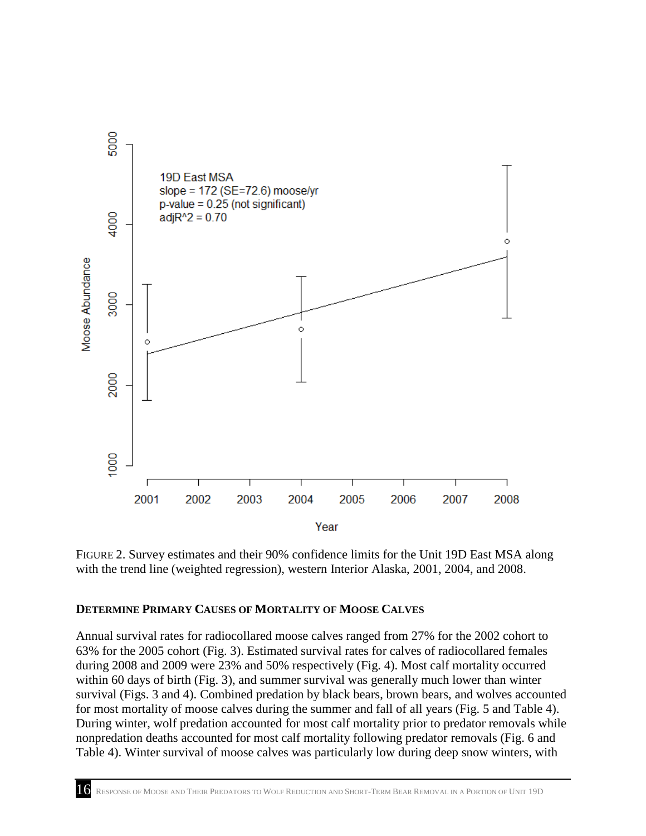

 FIGURE 2. Survey estimates and their 90% confidence limits for the Unit 19D East MSA along with the trend line (weighted regression), western Interior Alaska, 2001, 2004, and 2008.

#### <span id="page-21-0"></span>**DETERMINE PRIMARY CAUSES OF MORTALITY OF MOOSE CALVES**

 Annual survival rates for radiocollared moose calves ranged from 27% for the 2002 cohort to 63% for the 2005 cohort (Fig. 3). Estimated survival rates for calves of radiocollared females within 60 days of birth (Fig. 3), and summer survival was generally much lower than winter survival (Figs. 3 and 4). Combined predation by black bears, brown bears, and wolves accounted for most mortality of moose calves during the summer and fall of all years (Fig. 5 and Table 4). nonpredation deaths accounted for most calf mortality following predator removals (Fig. 6 and Table 4). Winter survival of moose calves was particularly low during deep snow winters, with during 2008 and 2009 were 23% and 50% respectively (Fig. 4). Most calf mortality occurred During winter, wolf predation accounted for most calf mortality prior to predator removals while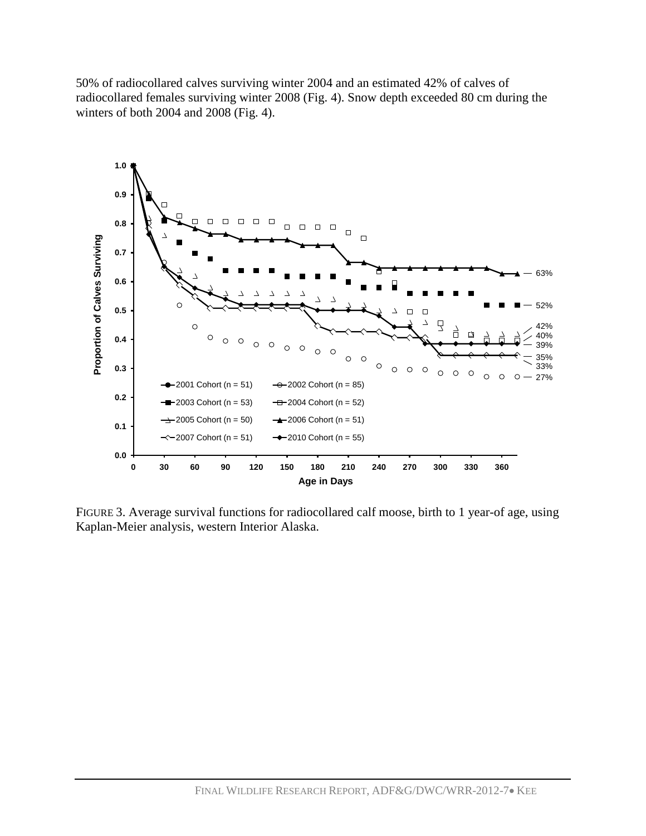50% of radiocollared calves surviving winter 2004 and an estimated 42% of calves of winters of both 2004 and 2008 (Fig. 4). radiocollared females surviving winter 2008 (Fig. 4). Snow depth exceeded 80 cm during the



 Kaplan-Meier analysis, western Interior Alaska. FIGURE 3. Average survival functions for radiocollared calf moose, birth to 1 year-of age, using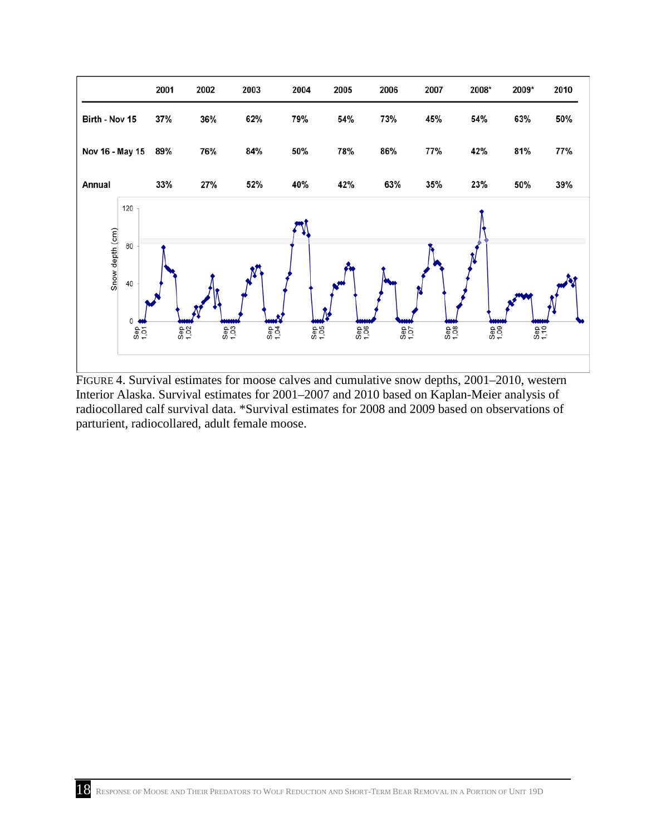

FIGURE 4. Survival estimates for moose calves and cumulative snow depths, 2001–2010, western Interior Alaska. Survival estimates for 2001–2007 and 2010 based on Kaplan-Meier analysis of radiocollared calf survival data. \*Survival estimates for 2008 and 2009 based on observations of parturient, radiocollared, adult female moose.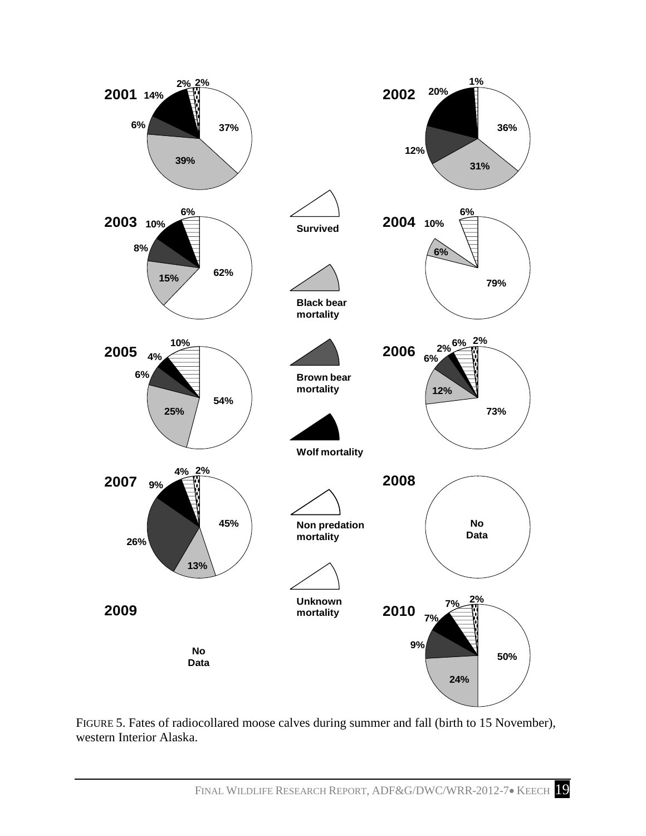

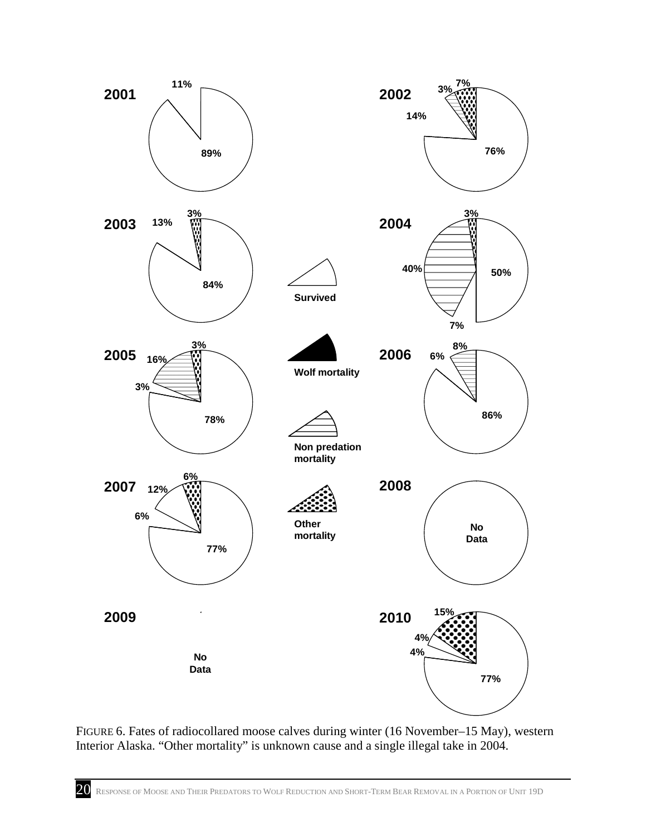

 FIGURE 6. Fates of radiocollared moose calves during winter (16 November–15 May), western Interior Alaska. "Other mortality" is unknown cause and a single illegal take in 2004.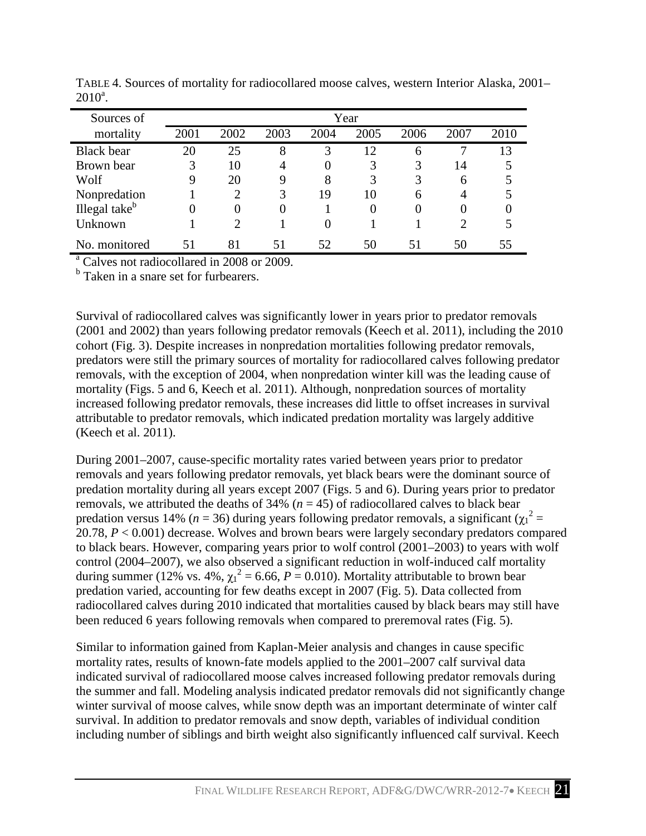| Sources of                |          | Year           |      |      |          |      |                       |      |  |  |  |
|---------------------------|----------|----------------|------|------|----------|------|-----------------------|------|--|--|--|
| mortality                 | 2001     | 2002           | 2003 | 2004 | 2005     | 2006 | 2007                  | 2010 |  |  |  |
| <b>Black</b> bear         | 20       | 25             | 8    | 3    | 12       | 6    |                       | 13   |  |  |  |
| Brown bear                | 3        | 10             | 4    | 0    | 3        | 3    | 14                    |      |  |  |  |
| Wolf                      | 9        | 20             | 9    | 8    | 3        | 3    | 6                     |      |  |  |  |
| Nonpredation              |          | 2              | 3    | 19   | 10       | 6    | 4                     | 5    |  |  |  |
| Illegal take <sup>b</sup> | $\theta$ | $\overline{0}$ | 0    |      | $\Omega$ |      | 0                     |      |  |  |  |
| Unknown                   |          |                |      | 0    |          |      | $\mathcal{D}_{\cdot}$ |      |  |  |  |
| No. monitored             |          | 81             | 51   | 52   | 50       | 51   | 50                    |      |  |  |  |

 TABLE 4. Sources of mortality for radiocollared moose calves, western Interior Alaska, 2001–  $2010^a$ .

<sup>a</sup> Calves not radiocollared in 2008 or 2009.

<sup>b</sup> Taken in a snare set for furbearers.

 Survival of radiocollared calves was significantly lower in years prior to predator removals (2001 and 2002) than years following predator removals (Keech et al. 2011), including the 2010 cohort (Fig. 3). Despite increases in nonpredation mortalities following predator removals, increased following predator removals, these increases did little to offset increases in survival predators were still the primary sources of mortality for radiocollared calves following predator removals, with the exception of 2004, when nonpredation winter kill was the leading cause of mortality (Figs. 5 and 6, Keech et al. 2011). Although, nonpredation sources of mortality attributable to predator removals, which indicated predation mortality was largely additive (Keech et al. 2011).

 During 2001–2007, cause-specific mortality rates varied between years prior to predator to black bears. However, comparing years prior to wolf control (2001–2003) to years with wolf during summer (12% vs. 4%,  $\chi_1^2 = 6.66$ ,  $P = 0.010$ ). Mortality attributable to brown bear predation varied, accounting for few deaths except in 2007 (Fig. 5). Data collected from been reduced 6 years following removals when compared to preremoval rates (Fig. 5). removals and years following predator removals, yet black bears were the dominant source of predation mortality during all years except 2007 (Figs. 5 and 6). During years prior to predator removals, we attributed the deaths of  $34\%$  ( $n = 45$ ) of radiocollared calves to black bear predation versus 14% ( $n = 36$ ) during years following predator removals, a significant ( $\chi_1^2 =$ 20.78, *P* < 0.001) decrease. Wolves and brown bears were largely secondary predators compared control (2004–2007), we also observed a significant reduction in wolf-induced calf mortality radiocollared calves during 2010 indicated that mortalities caused by black bears may still have

 Similar to information gained from Kaplan-Meier analysis and changes in cause specific winter survival of moose calves, while snow depth was an important determinate of winter calf mortality rates, results of known-fate models applied to the 2001–2007 calf survival data indicated survival of radiocollared moose calves increased following predator removals during the summer and fall. Modeling analysis indicated predator removals did not significantly change survival. In addition to predator removals and snow depth, variables of individual condition including number of siblings and birth weight also significantly influenced calf survival. Keech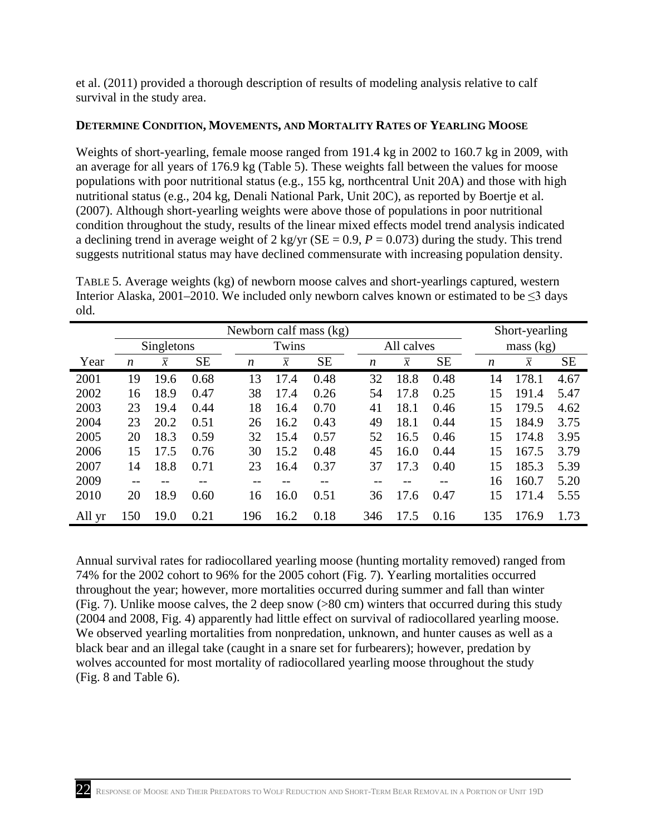et al. (2011) provided a thorough description of results of modeling analysis relative to calf survival in the study area.

### <span id="page-27-0"></span>**DETERMINE CONDITION, MOVEMENTS, AND MORTALITY RATES OF YEARLING MOOSE**

 Weights of short-yearling, female moose ranged from 191.4 kg in 2002 to 160.7 kg in 2009, with an average for all years of 176.9 kg (Table 5). These weights fall between the values for moose populations with poor nutritional status (e.g., 155 kg, northcentral Unit 20A) and those with high nutritional status (e.g., 204 kg, Denali National Park, Unit 20C), as reported by Boertje et al. a declining trend in average weight of 2 kg/yr ( $SE = 0.9$ ,  $P = 0.073$ ) during the study. This trend (2007). Although short-yearling weights were above those of populations in poor nutritional condition throughout the study, results of the linear mixed effects model trend analysis indicated suggests nutritional status may have declined commensurate with increasing population density.

Interior Alaska, 2001–2010. We included only newborn calves known or estimated to be  $\leq$ 3 days TABLE 5. Average weights (kg) of newborn moose calves and short-yearlings captured, western old.

|        | Newborn calf mass (kg) |                |           |                  |                |           |  |                  | Short-yearling |           |           |                     |           |
|--------|------------------------|----------------|-----------|------------------|----------------|-----------|--|------------------|----------------|-----------|-----------|---------------------|-----------|
|        |                        | Singletons     |           |                  | Twins          |           |  | All calves       |                |           | mass (kg) |                     |           |
| Year   | $\boldsymbol{n}$       | $\overline{x}$ | <b>SE</b> | $\boldsymbol{n}$ | $\overline{x}$ | <b>SE</b> |  | $\boldsymbol{n}$ | $\overline{x}$ | <b>SE</b> | n         | $\boldsymbol{\chi}$ | <b>SE</b> |
| 2001   | 19                     | 19.6           | 0.68      | 13               | 17.4           | 0.48      |  | 32               | 18.8           | 0.48      | 14        | 178.1               | 4.67      |
| 2002   | 16                     | 18.9           | 0.47      | 38               | 17.4           | 0.26      |  | 54               | 17.8           | 0.25      | 15        | 191.4               | 5.47      |
| 2003   | 23                     | 19.4           | 0.44      | 18               | 16.4           | 0.70      |  | 41               | 18.1           | 0.46      | 15        | 179.5               | 4.62      |
| 2004   | 23                     | 20.2           | 0.51      | 26               | 16.2           | 0.43      |  | 49               | 18.1           | 0.44      | 15        | 184.9               | 3.75      |
| 2005   | 20                     | 18.3           | 0.59      | 32               | 15.4           | 0.57      |  | 52               | 16.5           | 0.46      | 15        | 174.8               | 3.95      |
| 2006   | 15                     | 17.5           | 0.76      | 30               | 15.2           | 0.48      |  | 45               | 16.0           | 0.44      | 15        | 167.5               | 3.79      |
| 2007   | 14                     | 18.8           | 0.71      | 23               | 16.4           | 0.37      |  | 37               | 17.3           | 0.40      | 15        | 185.3               | 5.39      |
| 2009   |                        |                |           |                  |                |           |  |                  |                |           | 16        | 160.7               | 5.20      |
| 2010   | 20                     | 18.9           | 0.60      | 16               | 16.0           | 0.51      |  | 36               | 17.6           | 0.47      | 15        | 171.4               | 5.55      |
| All yr | 150                    | 19.0           | 0.21      | 196              | 16.2           | 0.18      |  | 346              | 17.5           | 0.16      | 135       | 176.9               | 1.73      |

 Annual survival rates for radiocollared yearling moose (hunting mortality removed) ranged from 74% for the 2002 cohort to 96% for the 2005 cohort (Fig. 7). Yearling mortalities occurred throughout the year; however, more mortalities occurred during summer and fall than winter (Fig. 7). Unlike moose calves, the 2 deep snow (>80 cm) winters that occurred during this study (2004 and 2008, Fig. 4) apparently had little effect on survival of radiocollared yearling moose. black bear and an illegal take (caught in a snare set for furbearers); however, predation by (Fig. 8 and Table 6). We observed yearling mortalities from nonpredation, unknown, and hunter causes as well as a wolves accounted for most mortality of radiocollared yearling moose throughout the study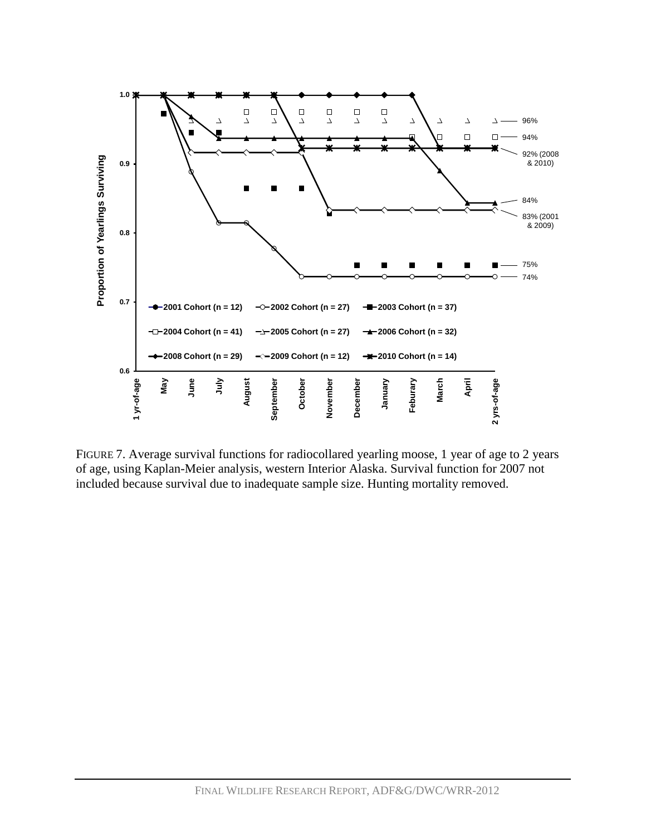

 FIGURE 7. Average survival functions for radiocollared yearling moose, 1 year of age to 2 years included because survival due to inadequate sample size. Hunting mortality removed. of age, using Kaplan-Meier analysis, western Interior Alaska. Survival function for 2007 not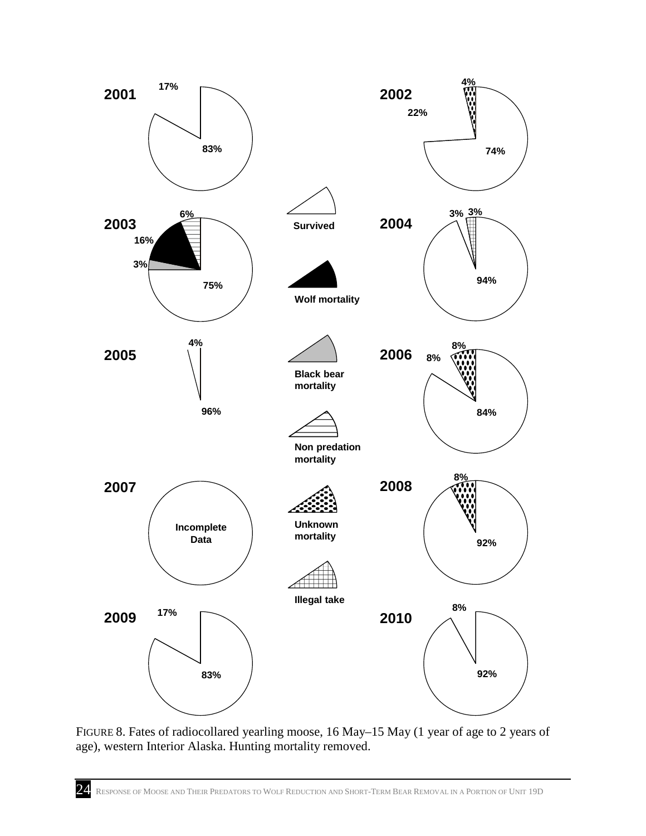

 FIGURE 8. Fates of radiocollared yearling moose, 16 May–15 May (1 year of age to 2 years of age), western Interior Alaska. Hunting mortality removed.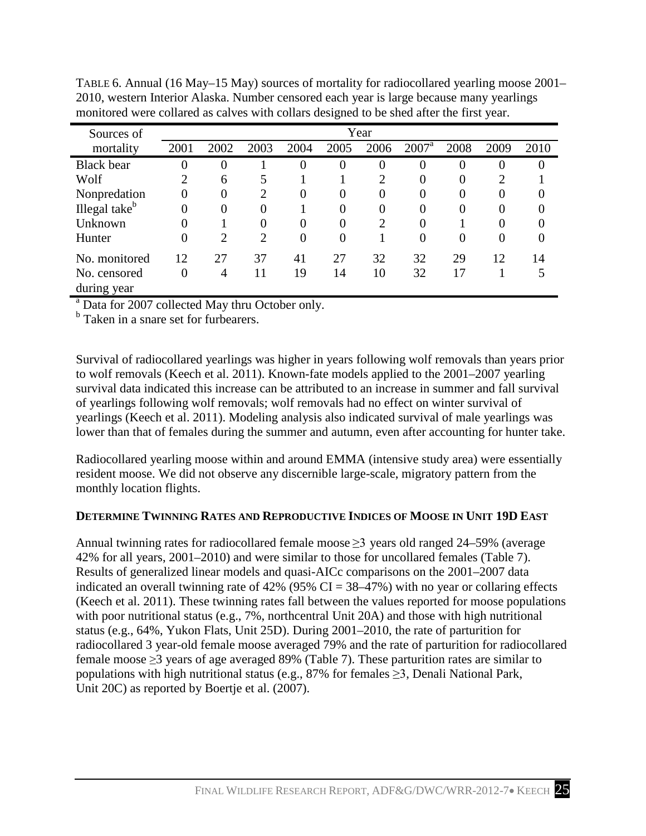| Sources of                  |          |          |          |          |      | Year           |                |          |                |      |
|-----------------------------|----------|----------|----------|----------|------|----------------|----------------|----------|----------------|------|
| mortality                   | 2001     | 2002     | 2003     | 2004     | 2005 | 2006           | $2007^{\rm a}$ | 2008     | 2009           | 2010 |
| <b>Black</b> bear           |          |          |          | 0        | 0    | 0              | U              | $\theta$ | O              |      |
| Wolf                        |          | 6        |          |          |      | ↑              | $\mathbf{U}$   | $\theta$ | $\overline{2}$ |      |
| Nonpredation                | $\Omega$ | $\Omega$ | റ        | $\Omega$ | 0    | 0              | $\Omega$       | $\Omega$ | $\theta$       |      |
| Illegal take <sup>b</sup>   | 0        |          | $\Omega$ |          | 0    | 0              |                | $\Omega$ | 0              |      |
| Unknown                     |          |          | $\Omega$ | 0        | 0    | $\overline{2}$ |                |          | 0              |      |
| Hunter                      |          | ာ        | ി        | $\theta$ | 0    |                | $\Omega$       | $\theta$ | $\theta$       |      |
| No. monitored               | 12       | 27       | 37       | 41       | 27   | 32             | 32             | 29       | 12             | 14   |
| No. censored<br>during year | 0        | 4        | 11       | 19       | 14   | 10             | 32             | 17       |                |      |

 TABLE 6. Annual (16 May–15 May) sources of mortality for radiocollared yearling moose 2001– 2010, western Interior Alaska. Number censored each year is large because many yearlings monitored were collared as calves with collars designed to be shed after the first year.

<sup>a</sup> Data for 2007 collected May thru October only.

<sup>b</sup> Taken in a snare set for furbearers.

 Survival of radiocollared yearlings was higher in years following wolf removals than years prior to wolf removals (Keech et al. 2011). Known-fate models applied to the 2001–2007 yearling survival data indicated this increase can be attributed to an increase in summer and fall survival of yearlings following wolf removals; wolf removals had no effect on winter survival of yearlings (Keech et al. 2011). Modeling analysis also indicated survival of male yearlings was lower than that of females during the summer and autumn, even after accounting for hunter take.

 resident moose. We did not observe any discernible large-scale, migratory pattern from the Radiocollared yearling moose within and around EMMA (intensive study area) were essentially monthly location flights.

### <span id="page-30-0"></span>**DETERMINE TWINNING RATES AND REPRODUCTIVE INDICES OF MOOSE IN UNIT 19D EAST**

Annual twinning rates for radiocollared female moose  $\geq$ 3 years old ranged 24–59% (average 42% for all years, 2001–2010) and were similar to those for uncollared females (Table 7). indicated an overall twinning rate of 42% (95%  $CI = 38-47%$ ) with no year or collaring effects status (e.g., 64%, Yukon Flats, Unit 25D). During 2001–2010, the rate of parturition for female moose ≥3 years of age averaged 89% (Table 7). These parturition rates are similar to Results of generalized linear models and quasi-AICc comparisons on the 2001–2007 data (Keech et al. 2011). These twinning rates fall between the values reported for moose populations with poor nutritional status (e.g., 7%, northcentral Unit 20A) and those with high nutritional radiocollared 3 year-old female moose averaged 79% and the rate of parturition for radiocollared populations with high nutritional status (e.g., 87% for females  $\geq$ 3, Denali National Park, Unit 20C) as reported by Boertje et al. (2007).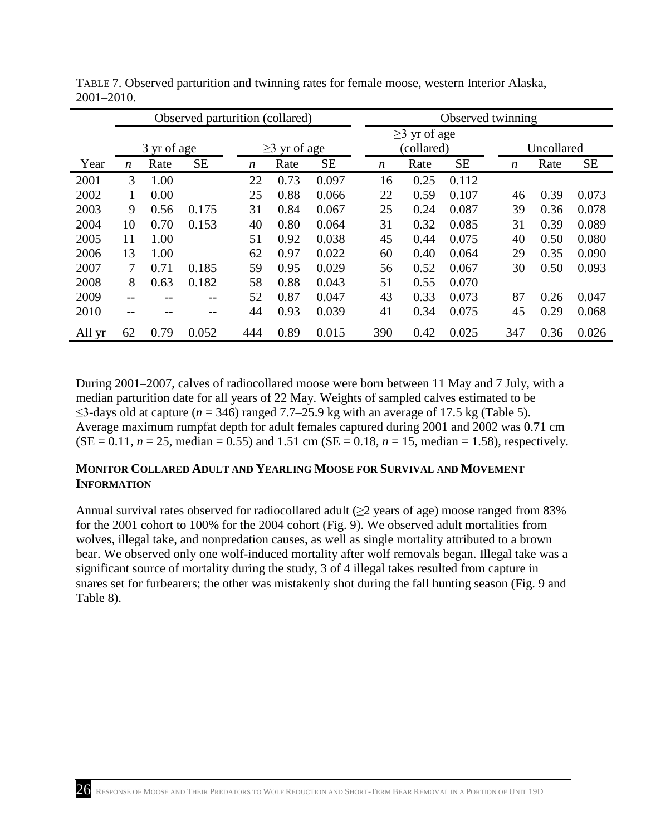|        | Observed parturition (collared) |      |           |     |                    |           |  | Observed twinning  |      |           |  |                  |      |           |  |
|--------|---------------------------------|------|-----------|-----|--------------------|-----------|--|--------------------|------|-----------|--|------------------|------|-----------|--|
|        |                                 |      |           |     |                    |           |  | $\geq$ 3 yr of age |      |           |  |                  |      |           |  |
|        | 3 yr of age                     |      |           |     | $\geq$ 3 yr of age |           |  | (collared)         |      |           |  | Uncollared       |      |           |  |
| Year   | $\boldsymbol{n}$                | Rate | <b>SE</b> | n   | Rate               | <b>SE</b> |  | n                  | Rate | <b>SE</b> |  | $\boldsymbol{n}$ | Rate | <b>SE</b> |  |
| 2001   | 3                               | 1.00 |           | 22  | 0.73               | 0.097     |  | 16                 | 0.25 | 0.112     |  |                  |      |           |  |
| 2002   | 1                               | 0.00 |           | 25  | 0.88               | 0.066     |  | 22                 | 0.59 | 0.107     |  | 46               | 0.39 | 0.073     |  |
| 2003   | 9                               | 0.56 | 0.175     | 31  | 0.84               | 0.067     |  | 25                 | 0.24 | 0.087     |  | 39               | 0.36 | 0.078     |  |
| 2004   | 10                              | 0.70 | 0.153     | 40  | 0.80               | 0.064     |  | 31                 | 0.32 | 0.085     |  | 31               | 0.39 | 0.089     |  |
| 2005   | 11                              | 1.00 |           | 51  | 0.92               | 0.038     |  | 45                 | 0.44 | 0.075     |  | 40               | 0.50 | 0.080     |  |
| 2006   | 13                              | 1.00 |           | 62  | 0.97               | 0.022     |  | 60                 | 0.40 | 0.064     |  | 29               | 0.35 | 0.090     |  |
| 2007   | 7                               | 0.71 | 0.185     | 59  | 0.95               | 0.029     |  | 56                 | 0.52 | 0.067     |  | 30               | 0.50 | 0.093     |  |
| 2008   | 8                               | 0.63 | 0.182     | 58  | 0.88               | 0.043     |  | 51                 | 0.55 | 0.070     |  |                  |      |           |  |
| 2009   | --                              |      | $- -$     | 52  | 0.87               | 0.047     |  | 43                 | 0.33 | 0.073     |  | 87               | 0.26 | 0.047     |  |
| 2010   | --                              |      | --        | 44  | 0.93               | 0.039     |  | 41                 | 0.34 | 0.075     |  | 45               | 0.29 | 0.068     |  |
| All yr | 62                              | 0.79 | 0.052     | 444 | 0.89               | 0.015     |  | 390                | 0.42 | 0.025     |  | 347              | 0.36 | 0.026     |  |

TABLE 7. Observed parturition and twinning rates for female moose, western Interior Alaska, 2001–2010.

 During 2001–2007, calves of radiocollared moose were born between 11 May and 7 July, with a  $\leq$ 3-days old at capture ( $n = 346$ ) ranged 7.7–25.9 kg with an average of 17.5 kg (Table 5).  $(SE = 0.11, n = 25, median = 0.55)$  and 1.51 cm  $(SE = 0.18, n = 15, median = 1.58)$ , respectively. median parturition date for all years of 22 May. Weights of sampled calves estimated to be Average maximum rumpfat depth for adult females captured during 2001 and 2002 was 0.71 cm

### <span id="page-31-0"></span>**MONITOR COLLARED ADULT AND YEARLING MOOSE FOR SURVIVAL AND MOVEMENT INFORMATION**

 for the 2001 cohort to 100% for the 2004 cohort (Fig. 9). We observed adult mortalities from wolves, illegal take, and nonpredation causes, as well as single mortality attributed to a brown bear. We observed only one wolf-induced mortality after wolf removals began. Illegal take was a snares set for furbearers; the other was mistakenly shot during the fall hunting season (Fig. 9 and Table 8). Annual survival rates observed for radiocollared adult  $(\geq 2)$  years of age) moose ranged from 83% significant source of mortality during the study, 3 of 4 illegal takes resulted from capture in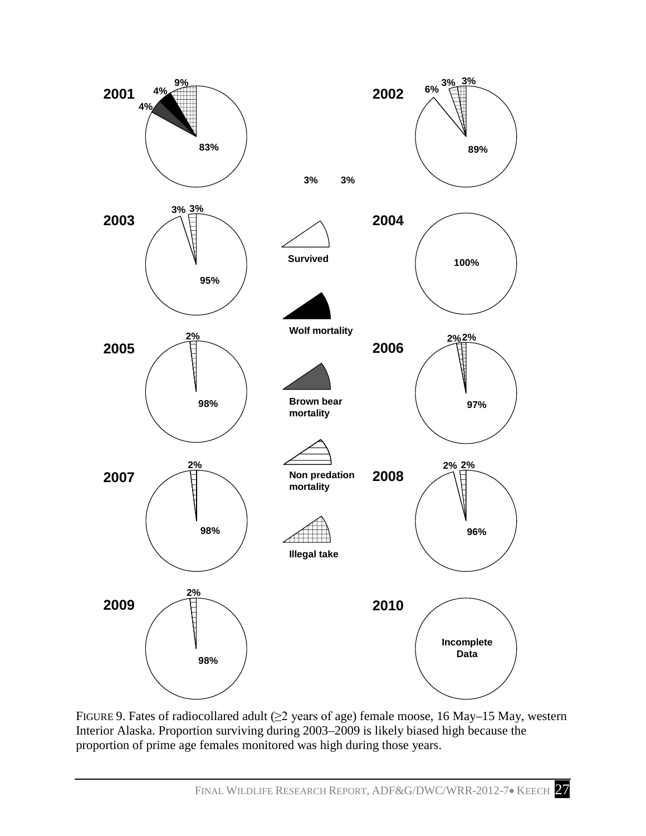

FIGURE 9. Fates of radiocollared adult  $(\geq 2$  years of age) female moose, 16 May–15 May, western proportion of prime age females monitored was high during those years. Interior Alaska. Proportion surviving during 2003–2009 is likely biased high because the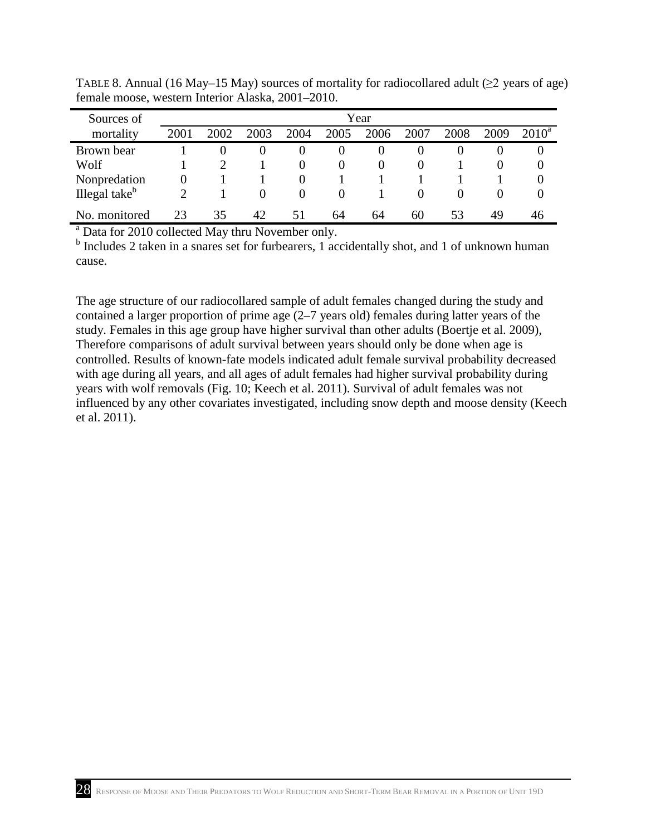| Sources of                                                          | Year |          |          |          |          |          |      |      |          |          |  |  |
|---------------------------------------------------------------------|------|----------|----------|----------|----------|----------|------|------|----------|----------|--|--|
| mortality                                                           | 2001 | 2002     | 2003     | 2004     | 2005     | 2006     | 2007 | 2008 | 2009     | $2010^4$ |  |  |
| Brown bear                                                          |      | $\theta$ | $\theta$ | $\theta$ | $\cup$   | $\cup$   | 0    | O    | O        | 0        |  |  |
| Wolf                                                                |      |          |          |          | $\theta$ | $\theta$ |      |      |          | O        |  |  |
| Nonpredation                                                        |      |          |          |          |          |          |      |      |          |          |  |  |
| Illegal take <sup>b</sup>                                           |      |          | $\theta$ | $\Omega$ | $\Omega$ |          |      |      | $\theta$ | 0        |  |  |
| No. monitored<br>23<br>35<br>42<br>53<br>60<br>49<br>51<br>64<br>64 |      |          |          |          |          |          | 46   |      |          |          |  |  |
| <sup>a</sup> Data for 2010 collected May thru November only.        |      |          |          |          |          |          |      |      |          |          |  |  |

<span id="page-33-0"></span>TABLE 8. Annual (16 May–15 May) sources of mortality for radiocollared adult  $(\geq 2)$  years of age) female moose, western Interior Alaska, 2001–2010.

<sup>b</sup> Includes 2 taken in a snares set for furbearers, 1 accidentally shot, and 1 of unknown human cause.

 The age structure of our radiocollared sample of adult females changed during the study and contained a larger proportion of prime age (2–7 years old) females during latter years of the Therefore comparisons of adult survival between years should only be done when age is controlled. Results of known-fate models indicated adult female survival probability decreased years with wolf removals (Fig. 10; Keech et al. 2011). Survival of adult females was not influenced by any other covariates investigated, including snow depth and moose density (Keech study. Females in this age group have higher survival than other adults (Boertje et al. 2009), with age during all years, and all ages of adult females had higher survival probability during et al. 2011).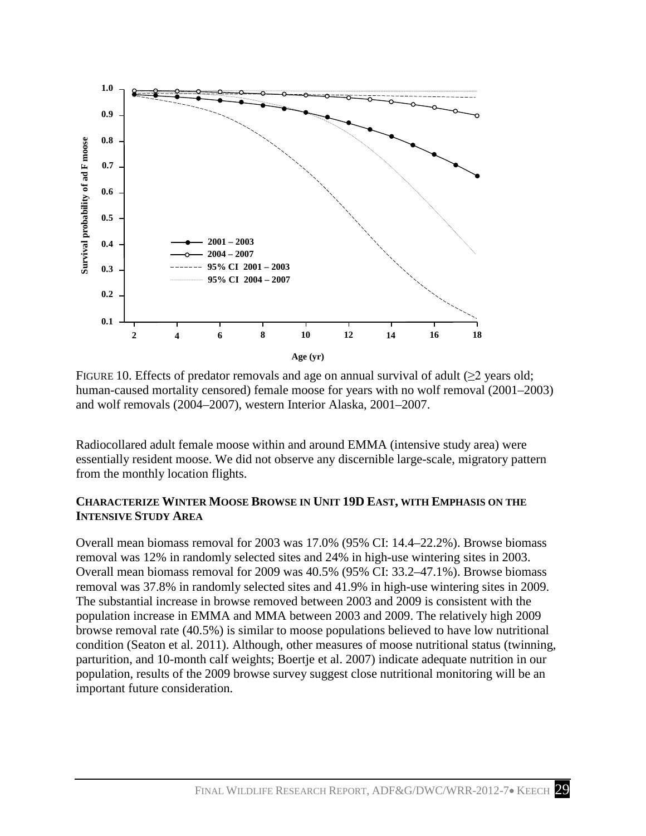

 FIGURE 10. Effects of predator removals and age on annual survival of adult (≥2 years old; and wolf removals (2004–2007), western Interior Alaska, 2001–2007. human-caused mortality censored) female moose for years with no wolf removal (2001–2003)

 essentially resident moose. We did not observe any discernible large-scale, migratory pattern Radiocollared adult female moose within and around EMMA (intensive study area) were from the monthly location flights.

### <span id="page-34-0"></span> **CHARACTERIZE WINTER MOOSE BROWSE IN UNIT 19D EAST, WITH EMPHASIS ON THE INTENSIVE STUDY AREA**

 Overall mean biomass removal for 2003 was 17.0% (95% CI: 14.4–22.2%). Browse biomass Overall mean biomass removal for 2009 was 40.5% (95% CI: 33.2–47.1%). Browse biomass condition (Seaton et al. 2011). Although, other measures of moose nutritional status (twinning, parturition, and 10-month calf weights; Boertje et al. 2007) indicate adequate nutrition in our removal was 12% in randomly selected sites and 24% in high-use wintering sites in 2003. removal was 37.8% in randomly selected sites and 41.9% in high-use wintering sites in 2009. The substantial increase in browse removed between 2003 and 2009 is consistent with the population increase in EMMA and MMA between 2003 and 2009. The relatively high 2009 browse removal rate (40.5%) is similar to moose populations believed to have low nutritional population, results of the 2009 browse survey suggest close nutritional monitoring will be an important future consideration.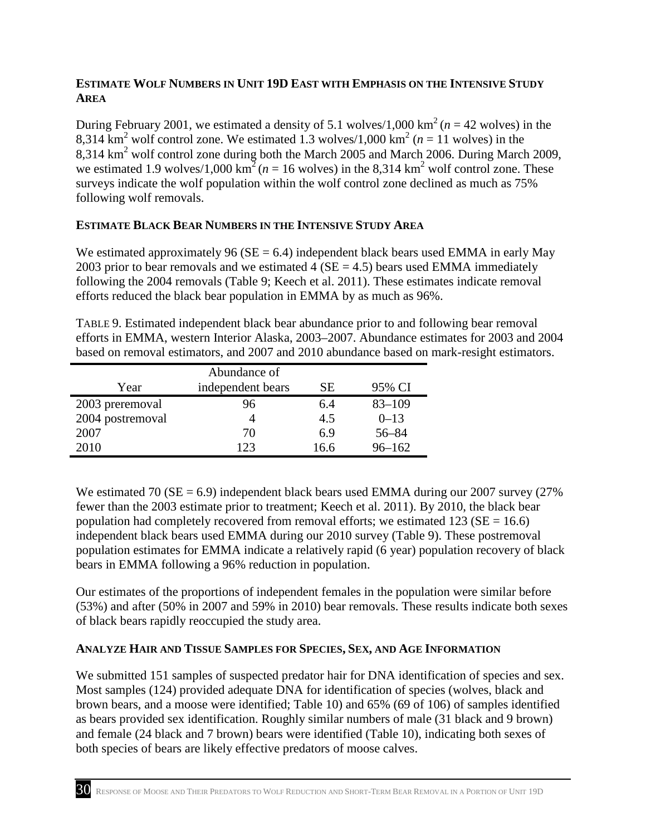### <span id="page-35-3"></span><span id="page-35-0"></span>**ESTIMATE WOLF NUMBERS IN UNIT 19D EAST WITH EMPHASIS ON THE INTENSIVE STUDY AREA**

8,314 km<sup>2</sup> wolf control zone. We estimated 1.3 wolves/1,000 km<sup>2</sup> ( $n = 11$  wolves) in the 8,314 km<sup>2</sup> wolf control zone during both the March 2005 and March 2006. During March 2009, we estimated 1.9 wolves/1,000 km<sup>2</sup> ( $n = 16$  wolves) in the 8,314 km<sup>2</sup> wolf control zone. These following wolf removals. During February 2001, we estimated a density of 5.1 wolves/1,000 km<sup>2</sup> ( $n = 42$  wolves) in the surveys indicate the wolf population within the wolf control zone declined as much as 75%

## <span id="page-35-1"></span>**ESTIMATE BLACK BEAR NUMBERS IN THE INTENSIVE STUDY AREA**

We estimated approximately 96 ( $SE = 6.4$ ) independent black bears used EMMA in early May 2003 prior to bear removals and we estimated  $4$  (SE = 4.5) bears used EMMA immediately following the 2004 removals (Table 9; Keech et al. 2011). These estimates indicate removal efforts reduced the black bear population in EMMA by as much as 96%.

TABLE 9. Estimated independent black bear abundance prior to and following bear removal efforts in EMMA, western Interior Alaska, 2003–2007. Abundance estimates for 2003 and 2004 based on removal estimators, and 2007 and 2010 abundance based on mark-resight estimators.

| Abundance of     |                   |      |            |  |  |  |  |  |  |  |
|------------------|-------------------|------|------------|--|--|--|--|--|--|--|
| Year             | independent bears | SЕ   | 95% CI     |  |  |  |  |  |  |  |
| 2003 preremoval  | 96                | 6.4  | $83 - 109$ |  |  |  |  |  |  |  |
| 2004 postremoval |                   | 4.5  | $0 - 13$   |  |  |  |  |  |  |  |
| 2007             | 70                | 6.9  | $56 - 84$  |  |  |  |  |  |  |  |
| 2010             | 123               | 16.6 | $96 - 162$ |  |  |  |  |  |  |  |

 independent black bears used EMMA during our 2010 survey (Table 9). These postremoval We estimated 70 ( $SE = 6.9$ ) independent black bears used EMMA during our 2007 survey (27%) fewer than the 2003 estimate prior to treatment; Keech et al. 2011). By 2010, the black bear population had completely recovered from removal efforts; we estimated  $123$  (SE = 16.6) population estimates for EMMA indicate a relatively rapid (6 year) population recovery of black bears in EMMA following a 96% reduction in population.

 Our estimates of the proportions of independent females in the population were similar before of black bears rapidly reoccupied the study area. (53%) and after (50% in 2007 and 59% in 2010) bear removals. These results indicate both sexes

## <span id="page-35-2"></span> **ANALYZE HAIR AND TISSUE SAMPLES FOR SPECIES, SEX, AND AGE INFORMATION**

 We submitted 151 samples of suspected predator hair for DNA identification of species and sex. brown bears, and a moose were identified; Table 10) and 65% (69 of 106) of samples identified as bears provided sex identification. Roughly similar numbers of male (31 black and 9 brown) and female (24 black and 7 brown) bears were identified (Table 10), indicating both sexes of both species of bears are likely effective predators of moose calves. Most samples (124) provided adequate DNA for identification of species (wolves, black and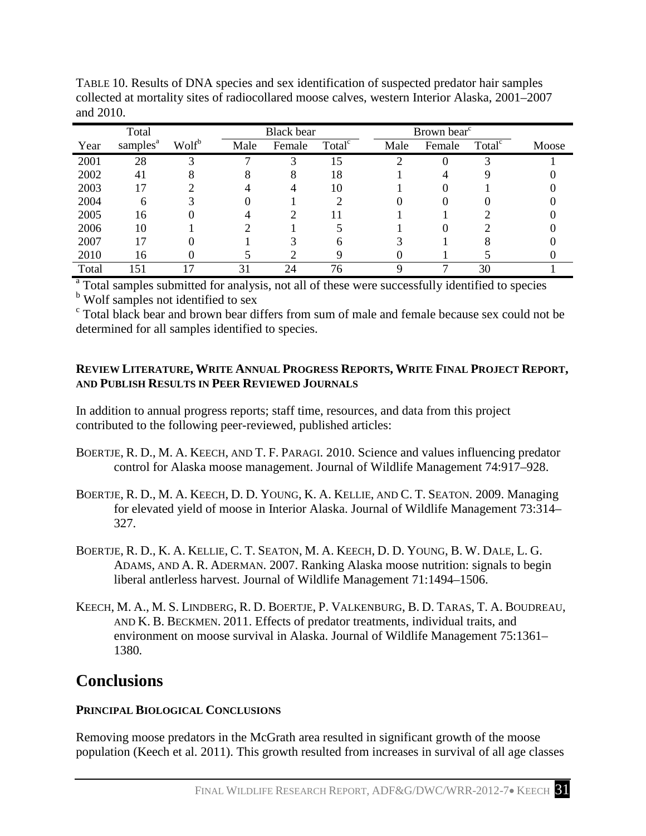|       | Total                |                   |      | <b>Black</b> bear |                    |  |      | Brown bear <sup>c</sup> |                    |       |  |
|-------|----------------------|-------------------|------|-------------------|--------------------|--|------|-------------------------|--------------------|-------|--|
| Year  | samples <sup>a</sup> | Wolf <sup>b</sup> | Male | Female            | Total <sup>c</sup> |  | Male | Female                  | Total <sup>c</sup> | Moose |  |
| 2001  | 28                   |                   |      |                   | 15                 |  |      |                         |                    |       |  |
| 2002  | 41                   |                   |      |                   | 18                 |  |      |                         |                    |       |  |
| 2003  |                      |                   |      |                   | 10                 |  |      |                         |                    |       |  |
| 2004  | 6                    |                   |      |                   |                    |  |      |                         |                    |       |  |
| 2005  | 16                   |                   |      |                   |                    |  |      |                         |                    |       |  |
| 2006  | 10                   |                   |      |                   |                    |  |      |                         |                    |       |  |
| 2007  | 7                    |                   |      |                   | n                  |  |      |                         |                    |       |  |
| 2010  | 16                   |                   |      |                   |                    |  |      |                         |                    |       |  |
| Total | 151                  |                   | 31   | 24                | 76                 |  |      |                         | 30                 |       |  |

TABLE 10. Results of DNA species and sex identification of suspected predator hair samples collected at mortality sites of radiocollared moose calves, western Interior Alaska, 2001–2007 and 2010.

<sup>a</sup> Total samples submitted for analysis, not all of these were successfully identified to species

<sup>b</sup> Wolf samples not identified to sex

c Total black bear and brown bear differs from sum of male and female because sex could not be determined for all samples identified to species.

### <span id="page-36-0"></span>**REVIEW LITERATURE, WRITE ANNUAL PROGRESS REPORTS, WRITE FINAL PROJECT REPORT, AND PUBLISH RESULTS IN PEER REVIEWED JOURNALS**

 In addition to annual progress reports; staff time, resources, and data from this project contributed to the following peer-reviewed, published articles:

- BOERTJE, R. D., M. A. KEECH, AND T. F. PARAGI. 2010. Science and values influencing predator control for Alaska moose management. Journal of Wildlife Management 74:917–928.
- BOERTJE, R. D., M. A. KEECH, D. D. YOUNG, K. A. KELLIE, AND C. T. SEATON. 2009. Managing for elevated yield of moose in Interior Alaska. Journal of Wildlife Management 73:314– 327.
- BOERTJE, R. D., K. A. KELLIE, C. T. SEATON, M. A. KEECH, D. D. YOUNG, B. W. DALE, L. G. ADAMS, AND A. R. ADERMAN. 2007. Ranking Alaska moose nutrition: signals to begin liberal antlerless harvest. Journal of Wildlife Management 71:1494–1506.
- KEECH, M. A., M. S. LINDBERG, R. D. BOERTJE, P. VALKENBURG, B. D. TARAS, T. A. BOUDREAU, AND K. B. BECKMEN. 2011. Effects of predator treatments, individual traits, and environment on moose survival in Alaska. Journal of Wildlife Management 75:1361– 1380*.*

## <span id="page-36-1"></span>**Conclusions**

## <span id="page-36-2"></span>**PRINCIPAL BIOLOGICAL CONCLUSIONS**

Removing moose predators in the McGrath area resulted in significant growth of the moose population (Keech et al. 2011). This growth resulted from increases in survival of all age classes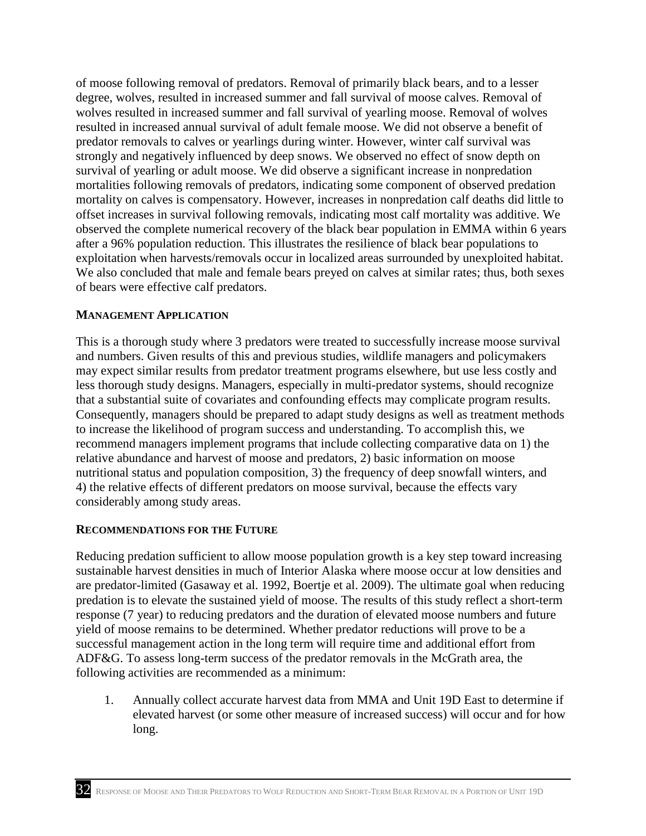survival of yearling or adult moose. We did observe a significant increase in nonpredation observed the complete numerical recovery of the black bear population in EMMA within 6 years of moose following removal of predators. Removal of primarily black bears, and to a lesser degree, wolves, resulted in increased summer and fall survival of moose calves. Removal of wolves resulted in increased summer and fall survival of yearling moose. Removal of wolves resulted in increased annual survival of adult female moose. We did not observe a benefit of predator removals to calves or yearlings during winter. However, winter calf survival was strongly and negatively influenced by deep snows. We observed no effect of snow depth on mortalities following removals of predators, indicating some component of observed predation mortality on calves is compensatory. However, increases in nonpredation calf deaths did little to offset increases in survival following removals, indicating most calf mortality was additive. We after a 96% population reduction. This illustrates the resilience of black bear populations to exploitation when harvests/removals occur in localized areas surrounded by unexploited habitat. We also concluded that male and female bears preyed on calves at similar rates; thus, both sexes of bears were effective calf predators.

#### <span id="page-37-0"></span>**MANAGEMENT APPLICATION**

 and numbers. Given results of this and previous studies, wildlife managers and policymakers may expect similar results from predator treatment programs elsewhere, but use less costly and less thorough study designs. Managers, especially in multi-predator systems, should recognize relative abundance and harvest of moose and predators, 2) basic information on moose 4) the relative effects of different predators on moose survival, because the effects vary This is a thorough study where 3 predators were treated to successfully increase moose survival that a substantial suite of covariates and confounding effects may complicate program results. Consequently, managers should be prepared to adapt study designs as well as treatment methods to increase the likelihood of program success and understanding. To accomplish this, we recommend managers implement programs that include collecting comparative data on 1) the nutritional status and population composition, 3) the frequency of deep snowfall winters, and considerably among study areas.

#### <span id="page-37-1"></span>**RECOMMENDATIONS FOR THE FUTURE**

 predation is to elevate the sustained yield of moose. The results of this study reflect a short-term Reducing predation sufficient to allow moose population growth is a key step toward increasing sustainable harvest densities in much of Interior Alaska where moose occur at low densities and are predator-limited (Gasaway et al. 1992, Boertje et al. 2009). The ultimate goal when reducing response (7 year) to reducing predators and the duration of elevated moose numbers and future yield of moose remains to be determined. Whether predator reductions will prove to be a successful management action in the long term will require time and additional effort from ADF&G. To assess long-term success of the predator removals in the McGrath area, the following activities are recommended as a minimum:

 elevated harvest (or some other measure of increased success) will occur and for how 1. Annually collect accurate harvest data from MMA and Unit 19D East to determine if long.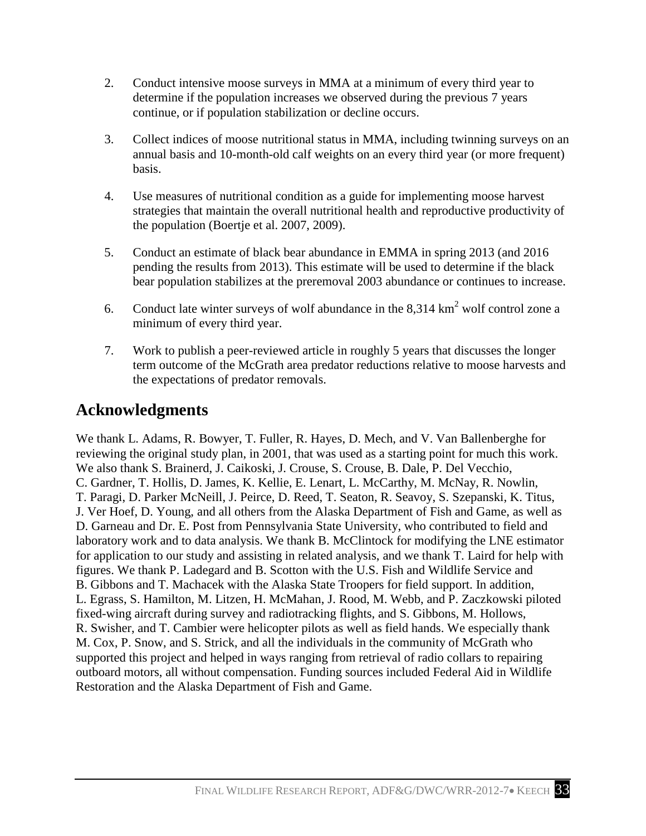- 2. Conduct intensive moose surveys in MMA at a minimum of every third year to determine if the population increases we observed during the previous 7 years continue, or if population stabilization or decline occurs.
- annual basis and 10-month-old calf weights on an every third year (or more frequent) 3. Collect indices of moose nutritional status in MMA, including twinning surveys on an basis.
- 4. Use measures of nutritional condition as a guide for implementing moose harvest the population (Boertje et al. 2007, 2009). strategies that maintain the overall nutritional health and reproductive productivity of
- pending the results from 2013). This estimate will be used to determine if the black 5. Conduct an estimate of black bear abundance in EMMA in spring 2013 (and 2016 bear population stabilizes at the preremoval 2003 abundance or continues to increase.
- 6. Conduct late winter surveys of wolf abundance in the  $8,314 \text{ km}^2$  wolf control zone a minimum of every third year.
- 7. Work to publish a peer-reviewed article in roughly 5 years that discusses the longer the expectations of predator removals. term outcome of the McGrath area predator reductions relative to moose harvests and

## <span id="page-38-0"></span>**Acknowledgments**

 We also thank S. Brainerd, J. Caikoski, J. Crouse, S. Crouse, B. Dale, P. Del Vecchio, C. Gardner, T. Hollis, D. James, K. Kellie, E. Lenart, L. McCarthy, M. McNay, R. Nowlin, T. Paragi, D. Parker McNeill, J. Peirce, D. Reed, T. Seaton, R. Seavoy, S. Szepanski, K. Titus, figures. We thank P. Ladegard and B. Scotton with the U.S. Fish and Wildlife Service and L. Egrass, S. Hamilton, M. Litzen, H. McMahan, J. Rood, M. Webb, and P. Zaczkowski piloted fixed-wing aircraft during survey and radiotracking flights, and S. Gibbons, M. Hollows, M. Cox, P. Snow, and S. Strick, and all the individuals in the community of McGrath who We thank L. Adams, R. Bowyer, T. Fuller, R. Hayes, D. Mech, and V. Van Ballenberghe for reviewing the original study plan, in 2001, that was used as a starting point for much this work. J. Ver Hoef, D. Young, and all others from the Alaska Department of Fish and Game, as well as D. Garneau and Dr. E. Post from Pennsylvania State University, who contributed to field and laboratory work and to data analysis. We thank B. McClintock for modifying the LNE estimator for application to our study and assisting in related analysis, and we thank T. Laird for help with B. Gibbons and T. Machacek with the Alaska State Troopers for field support. In addition, R. Swisher, and T. Cambier were helicopter pilots as well as field hands. We especially thank supported this project and helped in ways ranging from retrieval of radio collars to repairing outboard motors, all without compensation. Funding sources included Federal Aid in Wildlife Restoration and the Alaska Department of Fish and Game.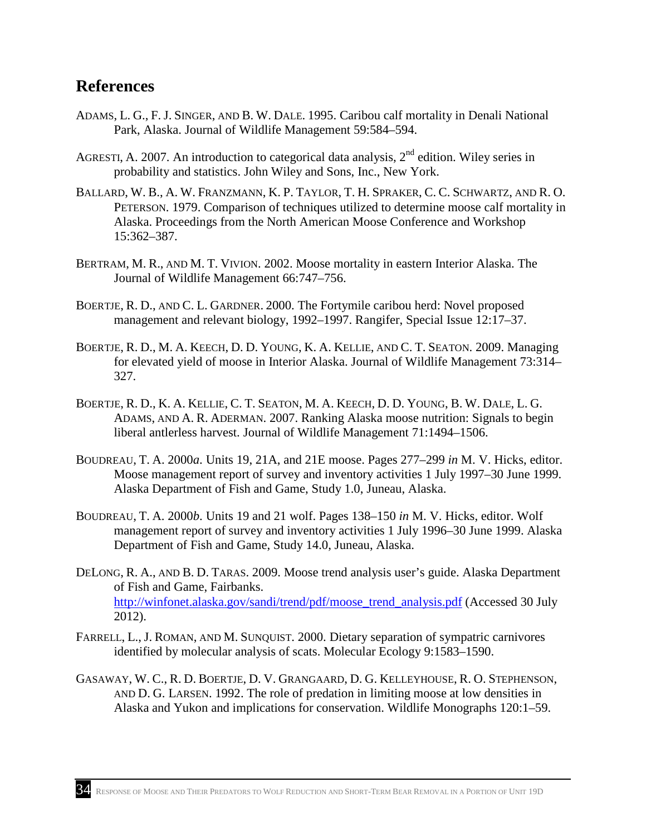## <span id="page-39-0"></span>**References**

- ADAMS, L. G., F. J. SINGER, AND B. W. DALE. 1995. Caribou calf mortality in Denali National Park, Alaska. Journal of Wildlife Management 59:584–594.
- probability and statistics. John Wiley and Sons, Inc., New York. AGRESTI, A. 2007. An introduction to categorical data analysis, 2<sup>nd</sup> edition. Wiley series in
- BALLARD, W. B., A. W. FRANZMANN, K. P. TAYLOR, T. H. SPRAKER, C. C. SCHWARTZ, AND R. O. PETERSON. 1979. Comparison of techniques utilized to determine moose calf mortality in Alaska. Proceedings from the North American Moose Conference and Workshop 15:362–387.
- BERTRAM, M. R., AND M. T. VIVION. 2002. Moose mortality in eastern Interior Alaska. The Journal of Wildlife Management 66:747–756.
- BOERTJE, R. D., AND C. L. GARDNER. 2000. The Fortymile caribou herd: Novel proposed management and relevant biology, 1992–1997. Rangifer, Special Issue 12:17–37.
- BOERTJE, R. D., M. A. KEECH, D. D. YOUNG, K. A. KELLIE, AND C. T. SEATON. 2009. Managing for elevated yield of moose in Interior Alaska. Journal of Wildlife Management 73:314– 327.
- BOERTJE, R. D., K. A. KELLIE, C. T. SEATON, M. A. KEECH, D. D. YOUNG, B. W. DALE, L. G. ADAMS, AND A. R. ADERMAN. 2007. Ranking Alaska moose nutrition: Signals to begin liberal antlerless harvest. Journal of Wildlife Management 71:1494–1506.
- BOUDREAU, T. A. 2000*a*. Units 19, 21A, and 21E moose. Pages 277–299 *in* M. V. Hicks, editor. Moose management report of survey and inventory activities 1 July 1997–30 June 1999. Alaska Department of Fish and Game, Study 1.0, Juneau, Alaska.
- BOUDREAU, T. A. 2000*b*. Units 19 and 21 wolf. Pages 138–150 *in* M. V. Hicks, editor. Wolf management report of survey and inventory activities 1 July 1996–30 June 1999. Alaska Department of Fish and Game, Study 14.0, Juneau, Alaska.
- DELONG, R. A., AND B. D. TARAS. 2009. Moose trend analysis user's guide. Alaska Department of Fish and Game, Fairbanks. [http://winfonet.alaska.gov/sandi/trend/pdf/moose\\_trend\\_analysis.pdf](http://winfonet.alaska.gov/sandi/trend/pdf/moose_trend_analysis.pdf) (Accessed 30 July 2012).
- FARRELL, L., J. ROMAN, AND M. SUNQUIST. 2000. Dietary separation of sympatric carnivores identified by molecular analysis of scats. Molecular Ecology 9:1583–1590.
- GASAWAY, W. C., R. D. BOERTJE, D. V. GRANGAARD, D. G. KELLEYHOUSE, R. O. STEPHENSON, Alaska and Yukon and implications for conservation. Wildlife Monographs 120:1–59. AND D. G. LARSEN. 1992. The role of predation in limiting moose at low densities in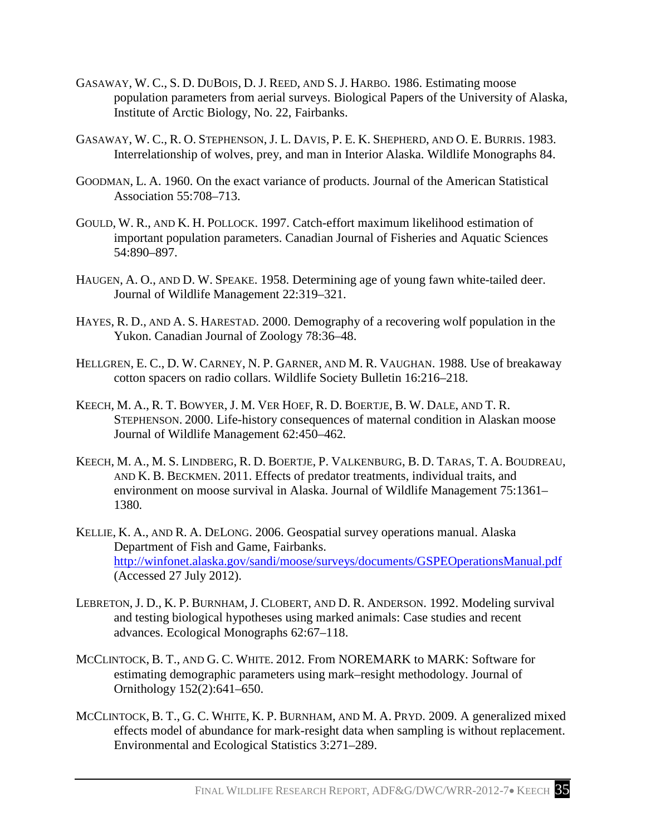- GASAWAY, W. C., S. D. DUBOIS, D. J. REED, AND S. J. HARBO. 1986. Estimating moose population parameters from aerial surveys. Biological Papers of the University of Alaska, Institute of Arctic Biology, No. 22, Fairbanks.
- GASAWAY, W. C., R. O. STEPHENSON, J. L. DAVIS, P. E. K. SHEPHERD, AND O. E. BURRIS. 1983. Interrelationship of wolves, prey, and man in Interior Alaska. Wildlife Monographs 84.
- GOODMAN, L. A. 1960. On the exact variance of products. Journal of the American Statistical Association 55:708–713.
- GOULD, W. R., AND K. H. POLLOCK. 1997. Catch-effort maximum likelihood estimation of important population parameters. Canadian Journal of Fisheries and Aquatic Sciences 54:890–897.
- HAUGEN, A. O., AND D. W. SPEAKE. 1958. Determining age of young fawn white-tailed deer. Journal of Wildlife Management 22:319–321.
- HAYES, R. D., AND A. S. HARESTAD. 2000. Demography of a recovering wolf population in the Yukon. Canadian Journal of Zoology 78:36–48.
- HELLGREN, E. C., D. W. CARNEY, N. P. GARNER, AND M. R. VAUGHAN. 1988. Use of breakaway cotton spacers on radio collars. Wildlife Society Bulletin 16:216–218.
- KEECH, M. A., R. T. BOWYER, J. M. VER HOEF, R. D. BOERTJE, B. W. DALE, AND T. R. STEPHENSON. 2000. Life-history consequences of maternal condition in Alaskan moose Journal of Wildlife Management 62:450–462*.*
- KEECH, M. A., M. S. LINDBERG, R. D. BOERTJE, P. VALKENBURG, B. D. TARAS, T. A. BOUDREAU, AND K. B. BECKMEN. 2011. Effects of predator treatments, individual traits, and environment on moose survival in Alaska. Journal of Wildlife Management 75:1361– 1380*.*
- KELLIE, K. A., AND R. A. DELONG. 2006. Geospatial survey operations manual. Alaska (Accessed 27 July 2012). Department of Fish and Game, Fairbanks. <http://winfonet.alaska.gov/sandi/moose/surveys/documents/GSPEOperationsManual.pdf>
- [LEBRETON, J. D., K. P. BURNHAM, J. CLOBERT, AND D. R. ANDERSON. 1992. Modeling survival](http://warnercnr.colostate.edu/class_info/fw663/lebreton.pdf)  [advances. Ecological Monographs 62:67–118.](http://warnercnr.colostate.edu/class_info/fw663/lebreton.pdf)  [and testing biological hypotheses using marked animals: Case studies and recent](http://warnercnr.colostate.edu/class_info/fw663/lebreton.pdf)
- MCCLINTOCK, B. T., AND G. C. WHITE. 2012. From NOREMARK to MARK: Software for estimating demographic parameters using mark–resight methodology. Journal of Ornithology 152(2):641–650.
- MCCLINTOCK, B. T., G. C. WHITE, K. P. BURNHAM, AND M. A. PRYD. 2009. A generalized mixed effects model of abundance for mark-resight data when sampling is without replacement. Environmental and Ecological Statistics 3:271–289.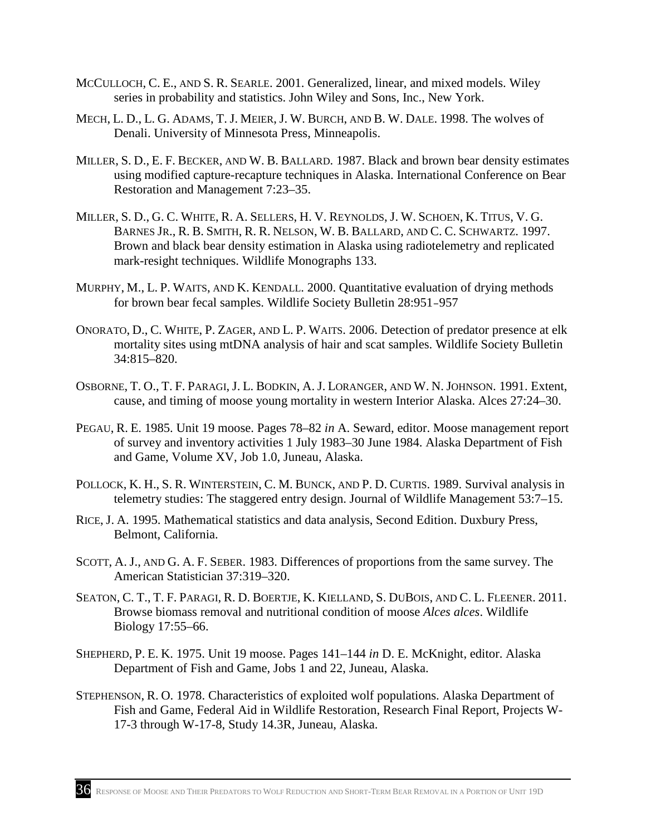- MCCULLOCH, C. E., AND S. R. SEARLE. 2001. Generalized, linear, and mixed models. Wiley series in probability and statistics. John Wiley and Sons, Inc., New York.
- MECH, L. D., L. G. ADAMS, T. J. MEIER, J. W. BURCH, AND B. W. DALE. 1998. The wolves of Denali. University of Minnesota Press, Minneapolis.
- MILLER, S. D., E. F. BECKER, AND W. B. BALLARD. 1987. Black and brown bear density estimates using modified capture-recapture techniques in Alaska. International Conference on Bear Restoration and Management 7:23–35.
- MILLER, S. D., G. C. WHITE, R. A. SELLERS, H. V. REYNOLDS, J. W. SCHOEN, K. TITUS, V. G. BARNES JR., R. B. SMITH, R. R. NELSON, W. B. BALLARD, AND C. C. SCHWARTZ. 1997. Brown and black bear density estimation in Alaska using radiotelemetry and replicated mark-resight techniques. Wildlife Monographs 133.
- MURPHY, M., L. P. WAITS, AND K. KENDALL. 2000. Quantitative evaluation of drying methods for brown bear fecal samples. Wildlife Society Bulletin 28:951–957
- ONORATO, D., C. WHITE, P. ZAGER, AND L. P. WAITS. 2006. Detection of predator presence at elk mortality sites using mtDNA analysis of hair and scat samples. Wildlife Society Bulletin 34:815–820.
- OSBORNE, T. O., T. F. PARAGI, J. L. BODKIN, A. J. LORANGER, AND W. N. JOHNSON. 1991. Extent, cause, and timing of moose young mortality in western Interior Alaska. Alces 27:24–30.
- PEGAU, R. E. 1985. Unit 19 moose. Pages 78–82 *in* A. Seward, editor. Moose management report and Game, Volume XV, Job 1.0, Juneau, Alaska. of survey and inventory activities 1 July 1983–30 June 1984. Alaska Department of Fish
- POLLOCK, K. H., S. R. WINTERSTEIN, C. M. BUNCK, AND P. D. CURTIS. 1989. Survival analysis in telemetry studies: The staggered entry design. Journal of Wildlife Management 53:7–15.
- RICE, J. A. 1995. Mathematical statistics and data analysis, Second Edition. Duxbury Press, Belmont, California.
- SCOTT, A. J., AND G. A. F. SEBER. 1983. Differences of proportions from the same survey. The American Statistician 37:319–320.
- SEATON, C. T., T. F. PARAGI, R. D. BOERTJE, K. KIELLAND, S. DUBOIS, AND C. L. FLEENER. 2011. Browse biomass removal and nutritional condition of moose *Alces alces*. Wildlife Biology 17:55–66.
- SHEPHERD, P. E. K. 1975. Unit 19 moose. Pages 141–144 *in* D. E. McKnight, editor. Alaska Department of Fish and Game, Jobs 1 and 22, Juneau, Alaska.
- STEPHENSON, R. O. 1978. Characteristics of exploited wolf populations. Alaska Department of Fish and Game, Federal Aid in Wildlife Restoration, Research Final Report, Projects W-17-3 through W-17-8, Study 14.3R, Juneau, Alaska.